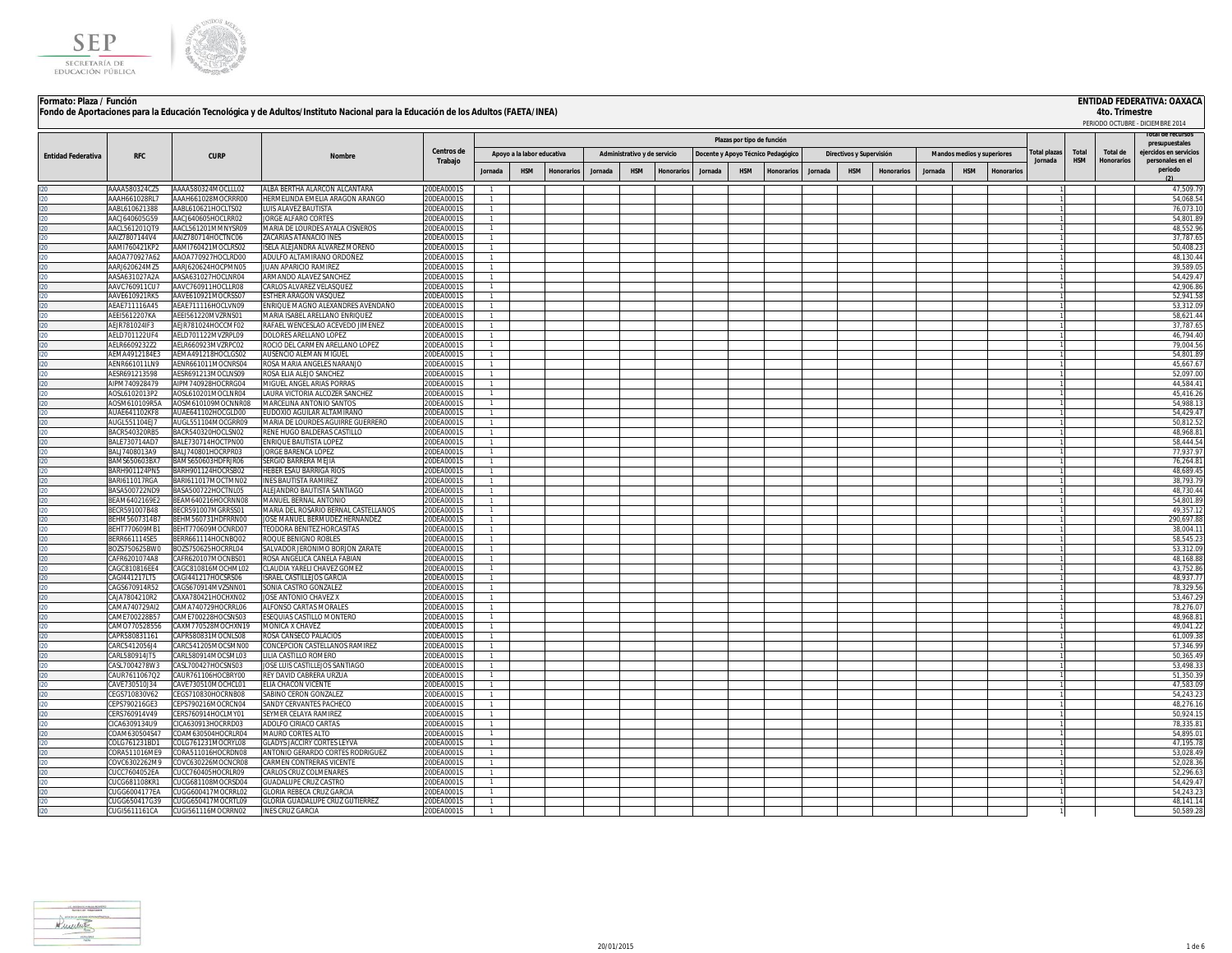

#### **ENTIDAD FEDERATIVA: OAXACA**

| Formato: Plaza / Función  |                                |                                          | Fondo de Aportaciones para la Educación Tecnológica y de Adultos/Instituto Nacional para la Educación de los Adultos (FAETA/INEA) |                                      |                                  |                            |                   |         |                              |                  |         |                                    |                   |         |                          |                   |         |                            |          |             |            | 4to. Trimestre    | ENTIDAD FEDERATIVA: OAXACA<br>PERIODO OCTUBRE - DICIEMBRE 2014 |
|---------------------------|--------------------------------|------------------------------------------|-----------------------------------------------------------------------------------------------------------------------------------|--------------------------------------|----------------------------------|----------------------------|-------------------|---------|------------------------------|------------------|---------|------------------------------------|-------------------|---------|--------------------------|-------------------|---------|----------------------------|----------|-------------|------------|-------------------|----------------------------------------------------------------|
|                           |                                |                                          |                                                                                                                                   |                                      |                                  |                            |                   |         |                              |                  |         | Plazas por tipo de función         |                   |         |                          |                   |         |                            |          |             |            |                   | presupuestales                                                 |
| <b>Entidad Federativa</b> | <b>RFC</b>                     | <b>CURP</b>                              | <b>Nombre</b>                                                                                                                     | Centros de                           |                                  | Apoyo a la labor educativa |                   |         | Administrativo y de servicio |                  |         | Docente y Apoyo Técnico Pedagógico |                   |         | Directivos y Supervisión |                   |         | Mandos medios y superiores |          | otal plazas | Total      | <b>Total de</b>   | eiercidos en servicio:                                         |
|                           |                                |                                          |                                                                                                                                   | Trabajo                              | Jornada                          | <b>HSM</b>                 | <b>Ionorarios</b> | Jornada | <b>HSM</b>                   | <b>Honorario</b> | Jornada | <b>HSM</b>                         | <b>Ionorarios</b> | Jornada | <b>HSM</b>               | <b>Honorarios</b> | Jornada | <b>HSM</b>                 | Honorari | Jornada     | <b>HSM</b> | <b>Honorarios</b> | personales en el<br>periodo                                    |
|                           |                                |                                          |                                                                                                                                   |                                      |                                  |                            |                   |         |                              |                  |         |                                    |                   |         |                          |                   |         |                            |          |             |            |                   |                                                                |
| 120                       | AAAA580324CZ5                  | AAAA580324MOCLLL02                       | ALBA BERTHA ALARCON ALCANTARA                                                                                                     | 20DEA0001S                           | $\mathbf{1}$                     |                            |                   |         |                              |                  |         |                                    |                   |         |                          |                   |         |                            |          |             |            |                   | 47.509.79                                                      |
| 120                       | AAAH661028RL7                  | AAAH661028MOCRRR00                       | HERMELINDA EMELIA ARAGON ARANGO                                                                                                   | 20DEA0001S                           | $\mathbf{1}$                     |                            |                   |         |                              |                  |         |                                    |                   |         |                          |                   |         |                            |          |             |            |                   | 54.068.54<br>76.073.10                                         |
| 120<br>120                | AABL610621388<br>AAC1640605G59 | AABL610621HOCLTS02<br>AACI640605HOCLRR02 | UIS ALAVEZ BAUTISTA<br><b>IORGE ALEARO CORTES</b>                                                                                 | 20DEA0001S<br>0DFA0001S              | $\mathbf{1}$<br>$\overline{1}$   |                            |                   |         |                              |                  |         |                                    |                   |         |                          |                   |         |                            |          |             |            |                   | 54,801.89                                                      |
| 120                       | AACL561201QT9                  | AACL561201MMNYSR09                       | <b>AARIA DE LOURDES AYALA CISNEROS</b>                                                                                            | 20DEA0001S                           | $\mathbf{1}$                     |                            |                   |         |                              |                  |         |                                    |                   |         |                          |                   |         |                            |          |             |            |                   | 48,552.96                                                      |
| 120                       | AAIZ7807144V4                  | AAIZ780714HOCTNC06                       | ACARIAS ATANACIO INES                                                                                                             | 20DEA0001S                           | $\mathbf{1}$                     |                            |                   |         |                              |                  |         |                                    |                   |         |                          |                   |         |                            |          |             |            |                   | 37,787.65                                                      |
| 120                       | AAMI760421KP2                  | AAMI760421MOCLRS02                       | SELA ALEJANDRA ALVAREZ MORENO                                                                                                     | 20DEA0001S                           | $\mathbf{1}$                     |                            |                   |         |                              |                  |         |                                    |                   |         |                          |                   |         |                            |          |             |            |                   | 50,408.23                                                      |
| 120                       | AAOA770927A62                  | AAOA770927HOCLRD00                       | ADULFO ALTAMIRANO ORDOÑEZ                                                                                                         | 20DEA0001S                           | $\mathbf{1}$                     |                            |                   |         |                              |                  |         |                                    |                   |         |                          |                   |         |                            |          |             |            |                   | 48,130.44                                                      |
| 120                       | AAR1620624M75                  | AARJ620624HOCPMN05                       | <b>IUAN APARICIO RAMIREZ</b>                                                                                                      | 20DEA0001S                           | $\mathbf{1}$                     |                            |                   |         |                              |                  |         |                                    |                   |         |                          |                   |         |                            |          |             |            |                   | 39,589.05                                                      |
| 120                       | AASA631027A2A                  | AASA631027HOCLNR04                       | ARMANDO ALAVEZ SANCHEZ                                                                                                            | 20DEA0001S                           | $\overline{1}$<br>$\mathbf{1}$   |                            |                   |         |                              |                  |         |                                    |                   |         |                          |                   |         |                            |          |             |            |                   | 54,429.4<br>42,906.86                                          |
| 120<br>120                | AAVC760911CU7<br>AAVE610921RK5 | AAVC760911HOCLLR08<br>AAVE610921MOCRSS07 | CARLOS ALVAREZ VELASQUEZ<br>STHER ARAGON VASQUEZ                                                                                  | 20DEA0001S<br>20DEA0001S             | $\mathbf{1}$                     |                            |                   |         |                              |                  |         |                                    |                   |         |                          |                   |         |                            |          |             |            |                   | 52,941.58                                                      |
| 120                       | AFAF711116A45                  | AEAE711116HOCLVN09                       | ENRIQUE MAGNO ALEXANDRES AVENDAÑO                                                                                                 | 20DEA0001S                           | $\overline{1}$                   |                            |                   |         |                              |                  |         |                                    |                   |         |                          |                   |         |                            |          |             |            |                   | 53,312.0                                                       |
| 120                       | AEEI5612207KA                  | AEEI561220MVZRNS01                       | VARIA ISABEL ARELLANO ENRIQUEZ                                                                                                    | 20DEA0001S                           | $\mathbf{1}$                     |                            |                   |         |                              |                  |         |                                    |                   |         |                          |                   |         |                            |          |             |            |                   | 58,621.44                                                      |
| 120                       | AEJR781024IF3                  | AEJR781024HOCCMF02                       | RAFAEL WENCESLAO ACEVEDO JIMENEZ                                                                                                  | 20DEA0001S                           | $\mathbf{1}$                     |                            |                   |         |                              |                  |         |                                    |                   |         |                          |                   |         |                            |          |             |            |                   | 37,787.65                                                      |
| 120                       | AELD701122UF4                  | AELD701122MVZRPL09                       | <b>DOLORES ARELLANO LOPEZ</b>                                                                                                     | 20DEA0001S                           |                                  |                            |                   |         |                              |                  |         |                                    |                   |         |                          |                   |         |                            |          |             |            |                   | 46,794.40                                                      |
| 120                       | AELR6609232Z2                  | AELR660923MVZRPC02                       | ROCIO DEL CARMEN ARELLANO LOPEZ                                                                                                   | 20DEA0001S                           | $\mathbf{1}$                     |                            |                   |         |                              |                  |         |                                    |                   |         |                          |                   |         |                            |          |             |            |                   | 79.004.56                                                      |
| 120                       | AEMA4912184E3<br>AENR661011LN9 | AEMA491218HOCLGS02<br>AENR661011MOCNRS04 | AUSENCIO ALEMAN MIGUEL<br>ROSA MARIA ANGELES NARANJO                                                                              | 20DEA0001S<br>20DEA0001S             |                                  |                            |                   |         |                              |                  |         |                                    |                   |         |                          |                   |         |                            |          |             |            |                   | 54,801.8<br>45.667.6                                           |
| 120<br> 20                | AESR691213598                  | ESR691213MOCLNS09                        | OSA ELIA ALE IO SANCHEZ                                                                                                           | 0DEA0001S                            |                                  |                            |                   |         |                              |                  |         |                                    |                   |         |                          |                   |         |                            |          |             |            |                   | 52,097.0                                                       |
| 120                       | AIPM740928479                  | NPM740928HOCRRG04                        | <b>IIGUEL ANGEL ARIAS PORRAS</b>                                                                                                  | 0DFA00019                            |                                  |                            |                   |         |                              |                  |         |                                    |                   |         |                          |                   |         |                            |          |             |            |                   | 44.584.4                                                       |
| 20                        | AOSL6102013P2                  | AOSL610201MOCLNR04                       | AURA VICTORIA ALCOZER SANCHEZ                                                                                                     | 0DEA0001S                            |                                  |                            |                   |         |                              |                  |         |                                    |                   |         |                          |                   |         |                            |          |             |            |                   | 45,416.2                                                       |
| 120                       | AOSM610109R5A                  | AOSM610109MOCNNR08                       | <b>IARCELINA ANTONIO SANTOS</b>                                                                                                   | 0DEA0001S                            |                                  |                            |                   |         |                              |                  |         |                                    |                   |         |                          |                   |         |                            |          |             |            |                   | 54.988.1                                                       |
| 120                       | AUAF641102KF8                  | AUAE641102HOCGLD00                       | UDOXIO AGUILAR ALTAMIRANC                                                                                                         | 0DEA0001S                            |                                  |                            |                   |         |                              |                  |         |                                    |                   |         |                          |                   |         |                            |          |             |            |                   | 54,429.4                                                       |
| $ 20\rangle$              | AUGL551104EJ7                  | UGL551104MOCGRR09                        | ARIA DE LOURDES AGUIRRE GUERRERO                                                                                                  | 0DEA0001S                            |                                  |                            |                   |         |                              |                  |         |                                    |                   |         |                          |                   |         |                            |          |             |            |                   | 50.812.5                                                       |
| 120<br>120                | BACR540320RB5<br>BALE730714AD7 | BACR540320HOCLSN02<br>BALE730714HOCTPN00 | ENE HUGO BALDERAS CASTILLO<br>NRIQUE BAUTISTA LOPEZ                                                                               | <b>ODEA0001S</b><br><b>ODEA0001S</b> | $\overline{1}$                   |                            |                   |         |                              |                  |         |                                    |                   |         |                          |                   |         |                            |          |             |            |                   | 48.968.8<br>58.444.54                                          |
|                           | BALJ7408013A9                  | BALJ740801HOCRPR03                       | ORGE BARENCA LÓPEZ                                                                                                                | 0DEA0001S                            | $\mathbf{1}$                     |                            |                   |         |                              |                  |         |                                    |                   |         |                          |                   |         |                            |          |             |            |                   | 77.937.9                                                       |
|                           | BAMS650603BX7                  | BAMS650603HDFRJR06                       | ERGIO BARRERA MEJIA                                                                                                               | <b>ODEA0001S</b>                     | $\overline{1}$                   |                            |                   |         |                              |                  |         |                                    |                   |         |                          |                   |         |                            |          |             |            |                   | 76,264.8                                                       |
|                           | BARH901124PN5                  | BARH901124HOCRSB02                       | <b>HEBER ESAU BARRIGA RIOS</b>                                                                                                    | 0DFA0001S                            | $\overline{1}$                   |                            |                   |         |                              |                  |         |                                    |                   |         |                          |                   |         |                            |          |             |            |                   | 48.689.45                                                      |
|                           | ARI611017RGA                   | BARI611017MOCTMN02                       | <b>VES RALITISTA RAMIRE</b>                                                                                                       | 0DEA0001S                            | $\overline{1}$                   |                            |                   |         |                              |                  |         |                                    |                   |         |                          |                   |         |                            |          |             |            |                   | 38.793.7                                                       |
|                           | BASA500722ND9                  | BASA500722HOCTNL05                       | ALEJANDRO BAUTISTA SANTIAGO                                                                                                       | 0DFA0001S                            | $\overline{1}$                   |                            |                   |         |                              |                  |         |                                    |                   |         |                          |                   |         |                            |          |             |            |                   | 48,730.44                                                      |
|                           | BEAM6402169E2<br>BECR591007B48 | BEAM640216HOCRNN08<br>BECR591007MGRRSS01 | MANUEL BERNAL ANTONIO<br>AARIA DEL ROSARIO BERNAL CASTELLANOS                                                                     | 20DEA0001S<br>20DEA0001S             | $\overline{1}$<br>$\overline{1}$ |                            |                   |         |                              |                  |         |                                    |                   |         |                          |                   |         |                            |          |             |            |                   | 54.801.89<br>49,357.1                                          |
|                           | BEHM5607314B7                  | BEHM560731HDFRRN00                       | JOSE MANUEL BERMUDEZ HERNANDEZ                                                                                                    | 20DEA0001S                           | $\overline{1}$                   |                            |                   |         |                              |                  |         |                                    |                   |         |                          |                   |         |                            |          |             |            |                   | 290,697.8                                                      |
|                           | BEHT770609MB1                  | BEHT770609MOCNRD07                       | EODORA BENITEZ HORCASITAS                                                                                                         | 20DEA0001S                           | $\overline{1}$                   |                            |                   |         |                              |                  |         |                                    |                   |         |                          |                   |         |                            |          |             |            |                   | 38,004.1                                                       |
|                           | BERR661114SE5                  | BERR661114HOCNBQ02                       | ROQUE BENIGNO ROBLES                                                                                                              | 20DEA0001S                           | $\mathbf{1}$                     |                            |                   |         |                              |                  |         |                                    |                   |         |                          |                   |         |                            |          |             |            |                   | 58,545.2                                                       |
|                           | 3OZS750625BW0                  | BOZS750625HOCRRL04                       | ALVADOR JERONIMO BORJON ZARATE                                                                                                    | 20DEA0001S                           | $\mathbf{1}$                     |                            |                   |         |                              |                  |         |                                    |                   |         |                          |                   |         |                            |          |             |            |                   | 53,312.0                                                       |
|                           | CAFR6201074A8                  | CAFR620107MOCNBS01                       | OSA ANGELICA CANELA FABIAN                                                                                                        | 20DEA0001S                           |                                  |                            |                   |         |                              |                  |         |                                    |                   |         |                          |                   |         |                            |          |             |            |                   | 48,168.8                                                       |
|                           | AGC810816EE4                   | CAGC810816MOCHML02                       | LAUDIA YARELI CHAVEZ GOMEZ                                                                                                        | 0DEA0001S                            | $\mathbf{1}$<br>1                |                            |                   |         |                              |                  |         |                                    |                   |         |                          |                   |         |                            |          |             |            |                   | 43,752.8                                                       |
|                           | AGI441217LT5<br>AGS670914R52   | CAGI441217HOCSRS06<br>CAGS670914MVZSNN01 | RAEL CASTILLEJOS GARCIA<br>ONIA CASTRO GONZALEZ                                                                                   | 20DEA0001S<br>20DEA0001S             |                                  |                            |                   |         |                              |                  |         |                                    |                   |         |                          |                   |         |                            |          |             |            |                   | 48,937.7<br>78,329.5                                           |
|                           | AJA7804210R2                   | CAXA780421HOCHXN02                       | <b>OSE ANTONIO CHAVEZ X</b>                                                                                                       | 0DEA0001S                            | $\mathbf{1}$                     |                            |                   |         |                              |                  |         |                                    |                   |         |                          |                   |         |                            |          |             |            |                   | 53,467.2                                                       |
|                           | AMA740729AI2                   | CAMA740729HOCRRL06                       | LFONSO CARTAS MORALES                                                                                                             | 0DEA0001S                            |                                  |                            |                   |         |                              |                  |         |                                    |                   |         |                          |                   |         |                            |          |             |            |                   | 78.276.0                                                       |
|                           | AME700228B57                   | AME700228HOCSNS03                        | EQUIAS CASTILLO MONTERO                                                                                                           | 0DEA0001S                            | $\mathbf{1}$                     |                            |                   |         |                              |                  |         |                                    |                   |         |                          |                   |         |                            |          |             |            |                   | 48.968.8                                                       |
|                           | AMO770528556                   | AXM770528MOCHXN19                        | <b>IONICA X CHAVEZ</b>                                                                                                            | 0DEA0001S                            | 1                                |                            |                   |         |                              |                  |         |                                    |                   |         |                          |                   |         |                            |          |             |            |                   | 49,041.22                                                      |
|                           | APR580831161                   | APR580831MOCNLS08                        | OSA CANSECO PALACIOS                                                                                                              | 0DEA0001S                            | 1                                |                            |                   |         |                              |                  |         |                                    |                   |         |                          |                   |         |                            |          |             |            |                   | 61.009.3                                                       |
|                           | ARC5412056J4<br>ARL580914JT5   | ARC541205MOCSMN00<br>ARL580914MOCSML03   | ONCEPCION CASTELLANOS RAMIREZ<br>II IA CASTILLO ROMERO                                                                            | 0DEA0001S<br>0DEA0001S               | $\mathbf{1}$<br>$\mathbf{1}$     |                            |                   |         |                              |                  |         |                                    |                   |         |                          |                   |         |                            |          |             |            |                   | 57,346.9<br>50,365.4                                           |
|                           | ASL7004278W3                   | ASL700427HOCSNS03                        | OSE LUIS CASTILLEJOS SANTIAGO                                                                                                     | 0DEA0001S                            | $\mathbf{1}$                     |                            |                   |         |                              |                  |         |                                    |                   |         |                          |                   |         |                            |          |             |            |                   | 53,498.3                                                       |
|                           | AUR761106702                   | AUR761106HOCBRY00                        | <b>REY DAVID CABRERA URZUA</b>                                                                                                    | ODEA0001S                            | $\mathbf{1}$                     |                            |                   |         |                              |                  |         |                                    |                   |         |                          |                   |         |                            |          |             |            |                   | 51.350.3                                                       |
|                           | AVE730510J34                   | CAVE730510MOCHCL01                       | LIA CHACON VICENTE                                                                                                                | 0DEA0001S                            | $\mathbf{1}$                     |                            |                   |         |                              |                  |         |                                    |                   |         |                          |                   |         |                            |          |             |            |                   | 47,583.0                                                       |
|                           | EGS710830V62                   | CEGS710830HOCRNB08                       | <b>ABINO CERON GONZALEZ</b>                                                                                                       | ODEA0001S                            | $\mathbf{1}$                     |                            |                   |         |                              |                  |         |                                    |                   |         |                          |                   |         |                            |          |             |            |                   | 54.243.23                                                      |
|                           | EPS790216GE3                   | EPS790216MOCRCN04                        | SANDY CERVANTES PACHECO                                                                                                           | <b>ODEA0001S</b>                     | $\mathbf{1}$                     |                            |                   |         |                              |                  |         |                                    |                   |         |                          |                   |         |                            |          |             |            |                   | 48.276.16                                                      |
|                           | ERS760914V49                   | CERS760914HOCLMY01                       | EYMER CELAYA RAMIREZ                                                                                                              | ODEA0001S                            | $\mathbf{1}$                     |                            |                   |         |                              |                  |         |                                    |                   |         |                          |                   |         |                            |          |             |            |                   | 50.924.15                                                      |
|                           | ICA6309134U9<br>OAM630504S47   | CICA630913HOCRRD03<br>COAM630504HOCRLR04 | ADOLFO CIRIACO CARTAS<br><b>AAURO CORTES ALTO</b>                                                                                 | <b>ODEA0001S</b><br>20DEA0001S       | $\mathbf{1}$<br>$\overline{1}$   |                            |                   |         |                              |                  |         |                                    |                   |         |                          |                   |         |                            |          |             |            |                   | 78.335.81<br>54.895.01                                         |
|                           | OLG761231BD1                   | COLG761231MOCRYL08                       | <b>SLADYS JACCIRY CORTES LEYVA</b>                                                                                                | 20DEA0001S                           | $\overline{1}$                   |                            |                   |         |                              |                  |         |                                    |                   |         |                          |                   |         |                            |          |             |            |                   | 47.195.78                                                      |
|                           | ORA511016ME9                   | CORA511016HOCRDN08                       | INTONIO GERARDO CORTES RODRIGUEZ                                                                                                  | 20DEA0001S                           | $\overline{1}$                   |                            |                   |         |                              |                  |         |                                    |                   |         |                          |                   |         |                            |          |             |            |                   | 53.028.49                                                      |
|                           | OVC6302262M9                   | COVC630226MOCNCR08                       | ARMEN CONTRERAS VICENTE                                                                                                           | 20DEA0001S                           | $\mathbf{1}$                     |                            |                   |         |                              |                  |         |                                    |                   |         |                          |                   |         |                            |          |             |            |                   | 52,028.36                                                      |
| I20<br>I20                | UCC7604052EA                   | CUCC760405HOCRLR09                       | ARLOS CRUZ COLMENARES                                                                                                             | 20DEA0001S                           | $\mathbf{1}$                     |                            |                   |         |                              |                  |         |                                    |                   |         |                          |                   |         |                            |          |             |            |                   | 52,296.63                                                      |
| 120                       | UCG681108KR1                   | CUCG681108MOCRSD04                       | <b>JUADALUPE CRUZ CASTRO</b>                                                                                                      | 20DEA0001S                           | $\mathbf{1}$                     |                            |                   |         |                              |                  |         |                                    |                   |         |                          |                   |         |                            |          |             |            |                   | 54,429.47                                                      |
| 120                       | :UGG6004177FA<br>CUGG650417G39 | 11GG600417MOCRRL02<br>CUGG650417MOCRTL09 | <b>ILORIA REBECA CRUZ GARCIA</b><br><b>GLORIA GUADALUPE CRUZ GUTIERREZ</b>                                                        | 20DEA0001S<br>20DEA0001S             | $\mathbf{1}$<br>1                |                            |                   |         |                              |                  |         |                                    |                   |         |                          |                   |         |                            |          |             |            |                   | 54,243.23<br>48,141.14                                         |
| 120<br>120                | CUGI5611161CA                  | CUGI561116MOCRRN02                       | INES CRUZ GARCIA                                                                                                                  | 20DEA0001S                           | $\mathbf{1}$                     |                            |                   |         |                              |                  |         |                                    |                   |         |                          |                   |         |                            |          |             |            |                   | 50,589.28                                                      |
|                           |                                |                                          |                                                                                                                                   |                                      |                                  |                            |                   |         |                              |                  |         |                                    |                   |         |                          |                   |         |                            |          |             |            |                   |                                                                |

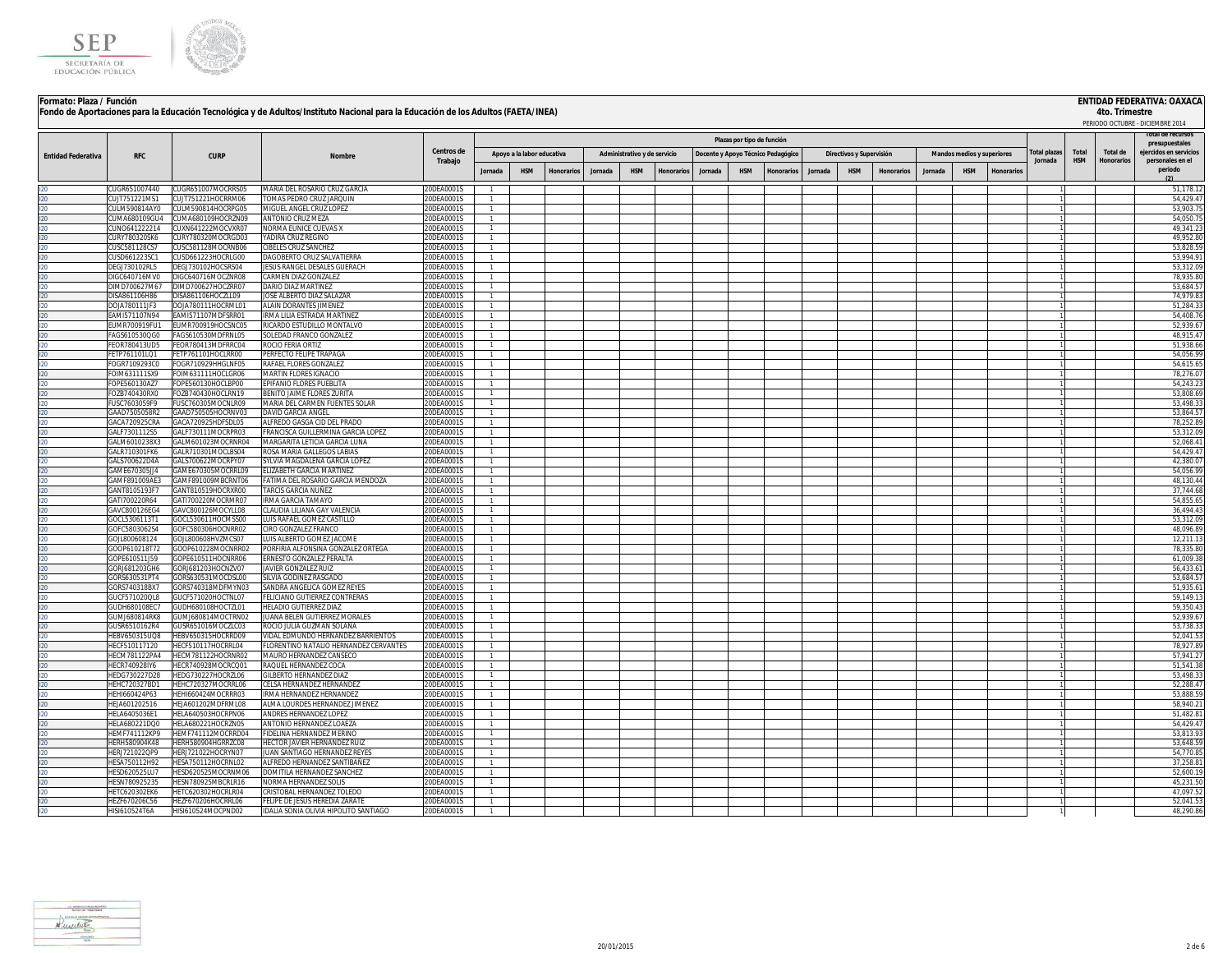

# **ENTIDAD FEDERATIVA: OAXACA**<br>4to. Trimestre

| Formato: Plaza / Función  |                                      |                                          |                                                                                                                                   |                            |                              |                            |                   |         |                              |                  |         |                                    |                   |         |                          |                   |         |                            |           |                |            |                   | ENTIDAD FEDERATIVA: OAXACA       |
|---------------------------|--------------------------------------|------------------------------------------|-----------------------------------------------------------------------------------------------------------------------------------|----------------------------|------------------------------|----------------------------|-------------------|---------|------------------------------|------------------|---------|------------------------------------|-------------------|---------|--------------------------|-------------------|---------|----------------------------|-----------|----------------|------------|-------------------|----------------------------------|
|                           |                                      |                                          | Fondo de Aportaciones para la Educación Tecnológica y de Adultos/Instituto Nacional para la Educación de los Adultos (FAETA/INEA) |                            |                              |                            |                   |         |                              |                  |         |                                    |                   |         |                          |                   |         |                            |           |                |            | 4to. Trimestre    |                                  |
|                           |                                      |                                          |                                                                                                                                   |                            |                              |                            |                   |         |                              |                  |         |                                    |                   |         |                          |                   |         |                            |           |                |            |                   | PERIODO OCTUBRE - DICIEMBRE 2014 |
|                           |                                      |                                          |                                                                                                                                   | Plazas por tipo de función |                              |                            |                   |         |                              |                  |         |                                    |                   |         |                          |                   |         |                            |           | presupuestales |            |                   |                                  |
| <b>Entidad Federativa</b> | <b>RFC</b>                           | <b>CURP</b>                              | Nombre                                                                                                                            | Centros de                 |                              | Apoyo a la labor educativa |                   |         | Administrativo y de servicio |                  |         | Docente y Apoyo Técnico Pedagógico |                   |         | Directivos y Supervisión |                   |         | Mandos medios y superiores |           | otal plazas    | Total      | Total de          | ejercidos en servicios           |
|                           |                                      |                                          |                                                                                                                                   | Trabajo                    |                              |                            |                   |         |                              |                  |         |                                    |                   |         |                          |                   |         |                            |           | Jornada        | <b>HSM</b> | <b>Honorarios</b> | personales en el<br>periodo      |
|                           |                                      |                                          |                                                                                                                                   |                            | Jornada                      | <b>HSM</b>                 | <b>Honorarios</b> | Jornada | <b>HSM</b>                   | <b>Honorario</b> | Jornada | <b>HSM</b>                         | <b>Ionorarios</b> | Jornada | <b>HSM</b>               | <b>Honorarios</b> | Jornada | <b>HSM</b>                 | Honorario |                |            |                   |                                  |
|                           | UGR651007440                         | CUGR651007MOCRRS05                       | MARIA DEL ROSARIO CRUZ GARCIA                                                                                                     | 0DEA0001S                  |                              |                            |                   |         |                              |                  |         |                                    |                   |         |                          |                   |         |                            |           |                |            |                   | 51,178.1                         |
|                           | UJT751221MS1                         | CUJT751221HOCRRM06                       | TOMAS PEDRO CRUZ JARQUIN                                                                                                          | 20DEA0001S                 |                              |                            |                   |         |                              |                  |         |                                    |                   |         |                          |                   |         |                            |           |                |            |                   | 54,429.4                         |
|                           | ULM590814AY0                         | CULM590814HOCRPG05                       | MIGUEL ANGEL CRUZ LOPEZ                                                                                                           | 20DEA0001S                 | $\mathbf{1}$                 |                            |                   |         |                              |                  |         |                                    |                   |         |                          |                   |         |                            |           |                |            |                   | 53,903.7                         |
| $20 -$<br>۵η.             | UMA680109GU4                         | CUMA680109HOCRZN09                       | <b>ANTONIO CRUZ MEZA</b><br>NORMA EUNICE CUEVAS X                                                                                 | 20DEA0001S<br>20DEA0001S   | $\mathbf{1}$                 |                            |                   |         |                              |                  |         |                                    |                   |         |                          |                   |         |                            |           |                |            |                   | 54.050.7<br>49,341.2             |
|                           | UNO641222214<br>URY780320SK6         | CUXN641222MOCVXR07<br>CURY780320MOCRGD03 | YADIRA CRUZ REGINO                                                                                                                | 20DEA0001S                 | $\mathbf{1}$<br>$\mathbf{1}$ |                            |                   |         |                              |                  |         |                                    |                   |         |                          |                   |         |                            |           |                |            |                   | 49,952.80                        |
|                           | USC581128CS7                         | CUSC581128MOCRNB06                       | CIBELES CRUZ SANCHEZ                                                                                                              | 20DEA0001S                 | $\mathbf{1}$                 |                            |                   |         |                              |                  |         |                                    |                   |         |                          |                   |         |                            |           |                |            |                   | 53,828.5                         |
|                           | USD661223SC1                         | CUSD661223HOCRLG00                       | DAGOBERTO CRUZ SALVATIERRA                                                                                                        | 20DEA0001S                 | $\mathbf{1}$                 |                            |                   |         |                              |                  |         |                                    |                   |         |                          |                   |         |                            |           |                |            |                   | 53,994.9                         |
|                           | DEGJ730102RL5                        | DEG1730102HOCSRS04                       | JESUS RANGEL DESALES GUERACH                                                                                                      | 20DEA0001S                 | $\mathbf{1}$                 |                            |                   |         |                              |                  |         |                                    |                   |         |                          |                   |         |                            |           |                |            |                   | 53,312.0                         |
|                           | IGC640716MV0                         | DIGC640716MOCZNR08                       | CARMEN DIAZ GONZALEZ                                                                                                              | 20DEA0001S                 | $\mathbf{1}$                 |                            |                   |         |                              |                  |         |                                    |                   |         |                          |                   |         |                            |           |                |            |                   | 78,935.8                         |
|                           | DIMD700627M67<br>DISA861106H86       | DIMD700627HOCZRR07<br>DISA861106HOCZLL09 | DARIO DIAZ MARTINEZ<br>JOSE ALBERTO DIAZ SALAZAR                                                                                  | 20DEA0001S<br>20DEA0001S   | $\mathbf{1}$                 |                            |                   |         |                              |                  |         |                                    |                   |         |                          |                   |         |                            |           |                |            |                   | 53,684.5<br>74,979.8             |
|                           | DOJA780111JF3                        | DOJA780111HOCRML01                       | ALAIN DORANTES JIMENEZ                                                                                                            | 20DEA0001S                 | $\mathbf{1}$                 |                            |                   |         |                              |                  |         |                                    |                   |         |                          |                   |         |                            |           |                |            |                   | 51,284.3                         |
|                           | EAMI571107N94                        | FAMI571107MDESRR01                       | IRMA LILIA ESTRADA MARTINEZ                                                                                                       | 20DEA0001S                 |                              |                            |                   |         |                              |                  |         |                                    |                   |         |                          |                   |         |                            |           |                |            |                   | 54,408.7                         |
|                           | EUMR700919FU1                        | EUMR700919HOCSNC05                       | RICARDO ESTUDILLO MONTALVO                                                                                                        | 20DEA0001S                 |                              |                            |                   |         |                              |                  |         |                                    |                   |         |                          |                   |         |                            |           |                |            |                   | 52,939.6                         |
|                           | FAGS610530QG0                        | FAGS610530MDFRNL05                       | SOLEDAD FRANCO GONZALEZ                                                                                                           | 20DEA0001S                 |                              |                            |                   |         |                              |                  |         |                                    |                   |         |                          |                   |         |                            |           |                |            |                   | 48,915.4                         |
|                           | FEOR780413UD5                        | FEOR780413MDFRRC04                       | ROCIO FERIA ORTIZ                                                                                                                 | 20DEA0001S                 |                              |                            |                   |         |                              |                  |         |                                    |                   |         |                          |                   |         |                            |           |                |            |                   | 51,938.6                         |
|                           | FETP761101LQ1                        | FETP761101HOCLRR00                       | PERFECTO FELIPE TRAPAGA                                                                                                           | 20DEA0001S                 |                              |                            |                   |         |                              |                  |         |                                    |                   |         |                          |                   |         |                            |           |                |            |                   | 54,056.9<br>54,615.6             |
|                           | FOGR7109293CC<br><b>OIM631111SX9</b> | FOGR710929HHGLNF05<br>FOIM631111HOCLGR06 | RAFAEL FLORES GONZALEZ<br><b>MARTIN FLORES IGNACIO</b>                                                                            | 20DEA0001S<br>20DEA00019   |                              |                            |                   |         |                              |                  |         |                                    |                   |         |                          |                   |         |                            |           |                |            |                   | 78,276.0                         |
|                           | OPE560130AZ7                         | FOPE560130HOCLBP00                       | EPIFANIO FLORES PUEBLITA                                                                                                          | 20DEA00019                 |                              |                            |                   |         |                              |                  |         |                                    |                   |         |                          |                   |         |                            |           |                |            |                   | 54,243.2                         |
|                           | FOZB740430RX0                        | FOZB740430HOCLRN19                       | BENITO JAIME FLORES ZURITA                                                                                                        | 20DEA00019                 |                              |                            |                   |         |                              |                  |         |                                    |                   |         |                          |                   |         |                            |           |                |            |                   | 53.808.6                         |
|                           | USC7603059F9                         | ELISC760305MOCNLR09                      | MARIA DEL CARMEN FUENTES SOLAR                                                                                                    | 20DEA0001                  |                              |                            |                   |         |                              |                  |         |                                    |                   |         |                          |                   |         |                            |           |                |            |                   | 53,498.3                         |
|                           | GAAD7505058R2                        | GAAD750505HOCRNV03                       | DAVID GARCIA ANGEL                                                                                                                | 20DEA00019                 |                              |                            |                   |         |                              |                  |         |                                    |                   |         |                          |                   |         |                            |           |                |            |                   | 53,864.5                         |
|                           | GACA720925CRA                        | GACA720925HDESDL05                       | ALEREDO GASGA CID DEL PRADO                                                                                                       | 20DEA00019                 |                              |                            |                   |         |                              |                  |         |                                    |                   |         |                          |                   |         |                            |           |                |            |                   | 78,252.8                         |
|                           | GALF7301112S5<br>GAI M6010238X3      | GALF730111MOCRPR03<br>GALM601023MOCRNR04 | FRANCISCA GUILLERMINA GARCIA LOPEZ<br>MARGARITA LETICIA GARCIA LUNA                                                               | 20DEA00019<br>20DEA0001S   |                              |                            |                   |         |                              |                  |         |                                    |                   |         |                          |                   |         |                            |           |                |            |                   | 53.312.0<br>52,068.4             |
|                           | GALR710301FK6                        | GALR710301MOCLBS04                       | ROSA MARIA GALLEGOS LABIAS                                                                                                        | 20DEA0001S                 |                              |                            |                   |         |                              |                  |         |                                    |                   |         |                          |                   |         |                            |           |                |            |                   | 54.429.4                         |
|                           | GALS700622D4A                        | GALS700622MOCRPY07                       | SYLVIA MAGDALENA GARCIA LOPEZ                                                                                                     | 20DEA0001S                 |                              |                            |                   |         |                              |                  |         |                                    |                   |         |                          |                   |         |                            |           |                |            |                   | 42,380.0                         |
|                           | GAME670305JJ4                        | GAME670305MOCRRL09                       | ELIZABETH GARCIA MARTINEZ                                                                                                         | 20DEA0001S                 |                              |                            |                   |         |                              |                  |         |                                    |                   |         |                          |                   |         |                            |           |                |            |                   | 54.056.9                         |
|                           | GAMF891009AE3                        | GAMF891009MBCRNT06                       | FATIMA DEL ROSARIO GARCIA MENDOZA                                                                                                 | 20DEA0001S                 |                              |                            |                   |         |                              |                  |         |                                    |                   |         |                          |                   |         |                            |           |                |            |                   | 48.130.4                         |
|                           | GANT8105193F7<br>GATI700220R64       | GANT810519HOCRXR00<br>GATI700220MOCRMR07 | <b>TARCIS GARCIA NUÑEZ</b><br><b>IRMA GARCIA TAMAYO</b>                                                                           | 20DEA0001S<br>20DEA0001S   | $\mathbf{1}$<br>$\mathbf{1}$ |                            |                   |         |                              |                  |         |                                    |                   |         |                          |                   |         |                            |           |                |            |                   | 37.744.6<br>54.855.6             |
|                           | GAVC800126EG4                        | GAVC800126MOCYLL08                       | CLAUDIA LILIANA GAY VALENCIA                                                                                                      | 20DEA0001S                 | $\mathbf{1}$                 |                            |                   |         |                              |                  |         |                                    |                   |         |                          |                   |         |                            |           |                |            |                   | 36,494.4                         |
|                           | 30CL5306113T1                        | GOCL530611HOCMSS00                       | LUIS RAFAEL GOMEZ CASTILLO                                                                                                        | 20DEA0001S                 | $\mathbf{1}$                 |                            |                   |         |                              |                  |         |                                    |                   |         |                          |                   |         |                            |           |                |            |                   | 53,312.0                         |
|                           | GOFC5803062S4                        | GOFC580306HOCNRR02                       | CIRO GONZALEZ FRANCO                                                                                                              | 20DEA0001S                 |                              |                            |                   |         |                              |                  |         |                                    |                   |         |                          |                   |         |                            |           |                |            |                   | 48,096.8                         |
|                           | GOJL800608124                        | GOJL800608HVZMCS07                       | LUIS ALBERTO GOMEZ JACOME                                                                                                         | 20DEA0001S                 |                              |                            |                   |         |                              |                  |         |                                    |                   |         |                          |                   |         |                            |           |                |            |                   | 12,211.1                         |
|                           | GOOP610218T72                        | GOOP610228MOCNRR02                       | PORFIRIA ALFONSINA GONZALEZ ORTEGA                                                                                                | 20DEA0001S                 | $\mathbf{1}$                 |                            |                   |         |                              |                  |         |                                    |                   |         |                          |                   |         |                            |           |                |            |                   | 78.335.8                         |
|                           | GOPE610511J59<br>GORJ681203GH6       | GOPE610511HOCNRR06<br>GORJ681203HOCNZV07 | ERNESTO GONZALEZ PERALTA<br><b>JAVIER GONZALEZ RUIZ</b>                                                                           | 20DEA0001S<br>20DEA0001S   |                              |                            |                   |         |                              |                  |         |                                    |                   |         |                          |                   |         |                            |           |                |            |                   | 61,009.3<br>56.433.6             |
|                           | GORS630531PT4                        | GORS630531MOCDSL00                       | SILVIA GODINEZ RASGADO                                                                                                            | 20DEA0001S                 |                              |                            |                   |         |                              |                  |         |                                    |                   |         |                          |                   |         |                            |           |                |            |                   | 53,684.5                         |
|                           | GORS740318BX7                        | GORS740318MDFMYN03                       | SANDRA ANGELICA GOMEZ REYES                                                                                                       | 20DEA0001S                 |                              |                            |                   |         |                              |                  |         |                                    |                   |         |                          |                   |         |                            |           |                |            |                   | 51,935.6                         |
|                           | UCF571020QL8                         | GUCF571020HOCTNL07                       | FELICIANO GUTIERREZ CONTRERAS                                                                                                     | 20DEA0001S                 |                              |                            |                   |         |                              |                  |         |                                    |                   |         |                          |                   |         |                            |           |                |            |                   | 59,149.1                         |
|                           | UDH680108FC7                         | GUDH680108HOCTZL01                       | HELADIO GUTIERREZ DIAZ                                                                                                            | 20DEA0001S                 |                              |                            |                   |         |                              |                  |         |                                    |                   |         |                          |                   |         |                            |           |                |            |                   | 59,350.4                         |
|                           | UMJ680814RK8                         | GUMJ680814MOCTRN02                       | JUANA BELEN GUTIERREZ MORALES                                                                                                     | 20DEA0001S                 |                              |                            |                   |         |                              |                  |         |                                    |                   |         |                          |                   |         |                            |           |                |            |                   | 52,939.6                         |
|                           | USR6510162R4<br>EBV650315UQ8         | GUSR651016MOCZLC03<br>HEBV650315HOCRRD09 | ROCIO JULIA GUZMAN SOLANA<br>VIDAL EDMUNDO HERNANDEZ BARRIENTOS                                                                   | 0DEA0001S<br>0DEA0001S     |                              |                            |                   |         |                              |                  |         |                                    |                   |         |                          |                   |         |                            |           |                |            |                   | 53,738.3<br>52,041.5             |
|                           | ECF510117120                         | HECF510117HOCRRL04                       | FLORENTINO NATALIO HERNANDEZ CERVANTES                                                                                            | 0DEA00019                  |                              |                            |                   |         |                              |                  |         |                                    |                   |         |                          |                   |         |                            |           |                |            |                   | 78,927.8                         |
|                           | ECM781122PA4                         | HECM781122HOCRNR02                       | MAURO HERNANDEZ CANSECO                                                                                                           | 20DEA0001S                 |                              |                            |                   |         |                              |                  |         |                                    |                   |         |                          |                   |         |                            |           |                |            |                   | 57,941.2                         |
|                           | ECR740928IY6                         | HECR740928MOCRCQ01                       | RAQUEL HERNANDEZ COCA                                                                                                             | 0DEA0001S                  |                              |                            |                   |         |                              |                  |         |                                    |                   |         |                          |                   |         |                            |           |                |            |                   | 51,541.3                         |
|                           | FDG730227D28                         | HEDG730227HOCR7L06                       | <b>GILBERTO HERNANDEZ DIAZ</b>                                                                                                    | 0DEA0001S                  |                              |                            |                   |         |                              |                  |         |                                    |                   |         |                          |                   |         |                            |           |                |            |                   | 53.498.3                         |
|                           | EHC720327BD1                         | HEHC720327MOCRRL06                       | CELSA HERNANDEZ HERNANDEZ                                                                                                         | 20DEA0001S                 |                              |                            |                   |         |                              |                  |         |                                    |                   |         |                          |                   |         |                            |           |                |            |                   | 52,288.4                         |
|                           | FHI660424P63<br>EJA601202516         | HEHI660424MOCRRR03<br>HEJA601202MDFRML08 | RMA HERNANDEZ HERNANDEZ<br>LMA LOURDES HERNANDEZ JIMENEZ                                                                          | 0DEA0001S<br>0DEA0001S     |                              |                            |                   |         |                              |                  |         |                                    |                   |         |                          |                   |         |                            |           |                |            |                   | 53,888.5<br>58,940.2             |
|                           | FI A6405036F1                        | HELA640503HOCRPN06                       | ANDRES HERNANDEZ LOPEZ                                                                                                            | 0DEA0001S                  |                              |                            |                   |         |                              |                  |         |                                    |                   |         |                          |                   |         |                            |           |                |            |                   | 51,482.8                         |
|                           | ELA680221DQ0                         | HELA680221HOCRZN05                       | ANTONIO HERNANDEZ LOAEZA                                                                                                          | 0DEA0001S                  |                              |                            |                   |         |                              |                  |         |                                    |                   |         |                          |                   |         |                            |           |                |            |                   | 54,429.4                         |
|                           | <b>EMF741112KP9</b>                  | HEMF741112MOCRRD04                       | FIDELINA HERNANDEZ MERINO                                                                                                         | ODEA0001S                  |                              |                            |                   |         |                              |                  |         |                                    |                   |         |                          |                   |         |                            |           |                |            |                   | 53.813.9                         |
|                           | ERH580904K48                         | HERH580904HGRRZC08                       | HECTOR JAVIER HERNANDEZ RUIZ                                                                                                      | 0DEA0001S                  |                              |                            |                   |         |                              |                  |         |                                    |                   |         |                          |                   |         |                            |           |                |            |                   | 53,648.5                         |
|                           | ERJ721022QP9                         | HERJ721022HOCRYN07                       | JUAN SANTIAGO HERNANDEZ REYES                                                                                                     | 20DEA0001S                 | $\mathbf{1}$                 |                            |                   |         |                              |                  |         |                                    |                   |         |                          |                   |         |                            |           |                |            |                   | 54.770.8                         |
|                           | ESA750112H92<br>ESD620525LU7         | HESA750112HOCRNL02<br>HESD620525MOCRNM06 | ALFREDO HERNANDEZ SANTIBAÑEZ<br>DOMITILA HERNANDEZ SANCHEZ                                                                        | 20DEA0001S<br>20DEA0001S   | $\mathbf{1}$<br>$\mathbf{1}$ |                            |                   |         |                              |                  |         |                                    |                   |         |                          |                   |         |                            |           |                |            |                   | 37.258.8<br>52.600.1             |
|                           | ESN780925235                         | HESN780925MBCRLR16                       | NORMA HERNANDEZ SOLIS                                                                                                             | 20DEA0001S                 | $\mathbf{1}$                 |                            |                   |         |                              |                  |         |                                    |                   |         |                          |                   |         |                            |           |                |            |                   | 45,231.50                        |
|                           | <b>IETC620302EK6</b>                 | HETC620302HOCRLR04                       | CRISTOBAL HERNANDEZ TOLEDO                                                                                                        | 20DEA0001S                 | $\mathbf{1}$                 |                            |                   |         |                              |                  |         |                                    |                   |         |                          |                   |         |                            |           |                |            |                   | 47.097.52                        |
|                           | IEZF670206C56                        | HF7F670206HOCRRL06                       | FELIPE DE JESUS HEREDIA ZARATE                                                                                                    | 20DEA0001S                 | $\mathbf{1}$                 |                            |                   |         |                              |                  |         |                                    |                   |         |                          |                   |         |                            |           |                |            |                   | 52,041.53                        |
|                           | HISI610524T6A                        | HISI610524MOCPND02                       | IDALIA SONIA OLIVIA HIPOLITO SANTIAGO                                                                                             | 20DEA0001S                 |                              |                            |                   |         |                              |                  |         |                                    |                   |         |                          |                   |         |                            |           |                |            |                   | 48,290.86                        |

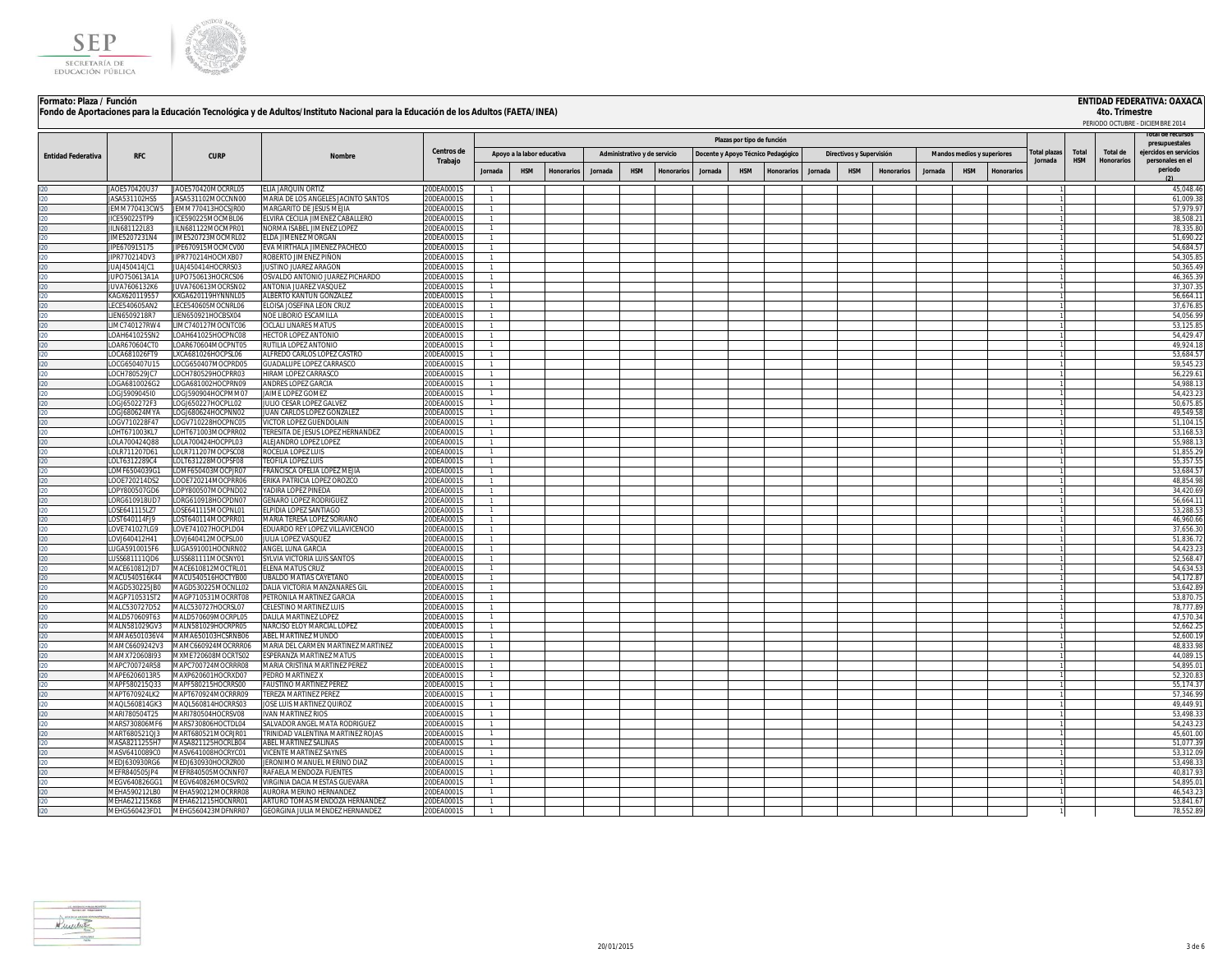



|                           |                                       |                                          |                                                                    |                          |                                  |                            |            |         |                              |            |         |                            |                                    |         |                          |                   |         |                            |           |              |            |                 | PERIODO OCTUBRE - DICIEMBRE 2014         |
|---------------------------|---------------------------------------|------------------------------------------|--------------------------------------------------------------------|--------------------------|----------------------------------|----------------------------|------------|---------|------------------------------|------------|---------|----------------------------|------------------------------------|---------|--------------------------|-------------------|---------|----------------------------|-----------|--------------|------------|-----------------|------------------------------------------|
|                           |                                       |                                          |                                                                    |                          |                                  |                            |            |         |                              |            |         | Plazas por tipo de función |                                    |         |                          |                   |         |                            |           |              |            |                 | iotal de recursos                        |
|                           | <b>RFC</b>                            | <b>CURP</b>                              | <b>Nombre</b>                                                      | Centros de               |                                  | Apoyo a la labor educativa |            |         | Administrativo y de servicio |            |         |                            | Docente y Apoyo Técnico Pedagógico |         | Directivos y Supervisión |                   |         | Mandos medios y superiores |           | Total plazas | Total      | <b>Total de</b> | presupuestales<br>ejercidos en servicios |
| <b>Entidad Federativa</b> |                                       |                                          |                                                                    | Trabajo                  |                                  |                            |            |         |                              |            |         |                            |                                    |         |                          |                   |         |                            |           | Jornada      | <b>HSM</b> | Honorarios      | personales en el<br>periodo              |
|                           |                                       |                                          |                                                                    |                          | Jornada                          | <b>HSM</b>                 | Honorarios | Jornada | <b>HSM</b>                   | Honorarios | Jornada | <b>HSM</b>                 | Honorarios                         | Jornada | <b>HSM</b>               | <b>Honorarios</b> | Jornada | <b>HSM</b>                 | Honorario |              |            |                 | (2)                                      |
|                           | IAOF570420U37                         | JAOE570420MOCRRL05                       | <b>ELIA JARQUIN ORTIZ</b>                                          | 20DFA0001S               | $\overline{1}$                   |                            |            |         |                              |            |         |                            |                                    |         |                          |                   |         |                            |           |              |            |                 | 45.048.46                                |
|                           | JASA531102HS5<br>JEMM770413CW5        | JASA531102MOCCNN00<br>JEMM770413HOCSJR00 | MARIA DE LOS ANGELES JACINTO SANTOS<br>MARGARITO DE JESUS MEJIA    | 20DEA0001S<br>20DEA0001S | $\overline{1}$<br>$\overline{1}$ |                            |            |         |                              |            |         |                            |                                    |         |                          |                   |         |                            |           |              |            |                 | 61,009.38<br>57.979.9                    |
|                           | CE590225TP9                           | JICE590225MOCMBL06                       | ELVIRA CECILIA JIMENEZ CABALLERO                                   | 20DEA0001S               | $\overline{1}$                   |                            |            |         |                              |            |         |                            |                                    |         |                          |                   |         |                            |           |              |            |                 | 38,508.2                                 |
|                           | LN681122L83                           | IILN681122MOCMPR01                       | NORMA ISABEL JIMENEZ LOPEZ                                         | 20DEA0001S               | $\overline{1}$                   |                            |            |         |                              |            |         |                            |                                    |         |                          |                   |         |                            |           |              |            |                 | 78,335.8                                 |
|                           | IME5207231N4                          | JIME520723MOCMRL02                       | ELDA JIMENEZ MORGAN                                                | 20DEA0001S               | $\overline{1}$                   |                            |            |         |                              |            |         |                            |                                    |         |                          |                   |         |                            |           |              |            |                 | 51.690.22                                |
|                           | IIPF670915175                         | JIPE670915MOCMCV00                       | EVA MIRTHALA JIMENEZ PACHECO                                       | 20DEA0001S               | $\overline{1}$                   |                            |            |         |                              |            |         |                            |                                    |         |                          |                   |         |                            |           |              |            |                 | 54.684.57                                |
|                           | JIPR770214DV3<br>ILIA 1450414 IC1     | JIPR770214HOCMXB07<br>JUAJ450414HOCRRS03 | ROBERTO JIMENEZ PIÑON<br><b>ILISTINO ILIAREZ ARAGON</b>            | 20DEA0001S<br>20DEA0001S | $\overline{1}$<br>1              |                            |            |         |                              |            |         |                            |                                    |         |                          |                   |         |                            |           |              |            |                 | 54,305.85<br>50,365.49                   |
|                           | JUPO750613A1A                         | JUPO750613HOCRCS06                       | OSVALDO ANTONIO JUAREZ PICHARDO                                    | 20DEA0001S               | $\overline{1}$                   |                            |            |         |                              |            |         |                            |                                    |         |                          |                   |         |                            |           |              |            |                 | 46,365.39                                |
|                           | JUVA7606132K6                         | JUVA760613MOCRSN02                       | ANTONIA JUAREZ VASQUEZ                                             | 20DEA0001S               | $\overline{1}$                   |                            |            |         |                              |            |         |                            |                                    |         |                          |                   |         |                            |           |              |            |                 | 37.307.35                                |
|                           | (AGX620119557                         | KXGA620119HYNNNL05                       | ALBERTO KANTUN GONZALEZ                                            | 20DEA0001S               |                                  |                            |            |         |                              |            |         |                            |                                    |         |                          |                   |         |                            |           |              |            |                 | 56,664.1                                 |
|                           | ECE540605AN2                          | LECE540605MOCNRL06                       | ELOISA JOSEFINA LEON CRUZ                                          | 20DEA0001S               |                                  |                            |            |         |                              |            |         |                            |                                    |         |                          |                   |         |                            |           |              |            |                 | 37.676.85                                |
|                           | IEN6509218R7<br><b>IMC740127RW4</b>   | LIEN650921HOCBSX04<br>LIMC740127MOCNTC06 | NOE LIBORIO ESCAMILLA<br>CICLALI LINARES MATUS                     | 20DEA0001S<br>20DEA0001S | $\overline{1}$<br>$\overline{1}$ |                            |            |         |                              |            |         |                            |                                    |         |                          |                   |         |                            |           |              |            |                 | 54,056.99<br>53,125.85                   |
|                           | LOAH641025SN2                         | LOAH641025HOCPNC08                       | HECTOR LOPEZ ANTONIO                                               | 20DEA0001S               |                                  |                            |            |         |                              |            |         |                            |                                    |         |                          |                   |         |                            |           |              |            |                 | 54,429.47                                |
|                           | OAR670604CT0                          | LOAR670604MOCPNT05                       | RUTILIA LOPEZ ANTONIO                                              | 20DEA0001S               |                                  |                            |            |         |                              |            |         |                            |                                    |         |                          |                   |         |                            |           |              |            |                 | 49,924.18                                |
|                           | LOCA681026FT9                         | LXCA681026HOCPSL06                       | ALFREDO CARLOS LOPEZ CASTRO                                        | 20DEA0001S               |                                  |                            |            |         |                              |            |         |                            |                                    |         |                          |                   |         |                            |           |              |            |                 | 53,684.5                                 |
|                           | OCG650407U15                          | LOCG650407MOCPRD05                       | GUADALUPE LOPEZ CARRASCO                                           | 20DEA0001S               |                                  |                            |            |         |                              |            |         |                            |                                    |         |                          |                   |         |                            |           |              |            |                 | 59.545.23                                |
|                           | OCH780529JC7                          | LOCH780529HOCPRR03                       | HIRAM LOPEZ CARRASCO                                               | 20DEA0001S               | $\mathbf{1}$                     |                            |            |         |                              |            |         |                            |                                    |         |                          |                   |         |                            |           |              |            |                 | 56.229.61                                |
|                           | OGA6810026G2<br>LOGJ5909045I0         | LOGA681002HOCPRN09<br>LOGI590904HOCPMM07 | ANDRES LOPEZ GARCIA<br>JAIME LOPEZ GOMEZ                           | 20DEA0001S<br>20DEA0001S | 1<br>$\overline{1}$              |                            |            |         |                              |            |         |                            |                                    |         |                          |                   |         |                            |           |              |            |                 | 54.988.13<br>54.423.23                   |
|                           | LOGJ6502272F3                         | LOGJ650227HOCPLL02                       | JULIO CESAR LOPEZ GALVEZ                                           | 20DEA0001S               | $\overline{1}$                   |                            |            |         |                              |            |         |                            |                                    |         |                          |                   |         |                            |           |              |            |                 | 50,675.85                                |
|                           | LOG1680624MYA                         | LOG1680624HOCPNN02                       | JUAN CARLOS LOPEZ GONZALEZ                                         | 20DEA0001S               | $\overline{1}$                   |                            |            |         |                              |            |         |                            |                                    |         |                          |                   |         |                            |           |              |            |                 | 49.549.58                                |
|                           | LOGV710228F47                         | LOGV710228HOCPNC05                       | VICTOR LOPEZ GUENDOLAIN                                            | 20DEA0001S               |                                  |                            |            |         |                              |            |         |                            |                                    |         |                          |                   |         |                            |           |              |            |                 | 51,104.15                                |
|                           | LOHT671003KL7                         | LOHT671003MOCPRR02                       | TERESITA DE JESUS LOPEZ HERNANDEZ                                  | 20DEA0001S               | $\overline{1}$                   |                            |            |         |                              |            |         |                            |                                    |         |                          |                   |         |                            |           |              |            |                 | 53,168.53                                |
|                           | LOLA700424Q88                         | LOLA700424HOCPPL03                       | ALEJANDRO LOPEZ LOPEZ                                              | 20DEA0001S               |                                  |                            |            |         |                              |            |         |                            |                                    |         |                          |                   |         |                            |           |              |            |                 | 55,988.1                                 |
|                           | LOLR711207D61<br>.OLT6312289C4        | LOLR711207MOCPSC08<br>LOLT631228MOCPSF08 | ROCELIA LOPEZ LUIS<br><b>TEOFILA LOPEZ LUIS</b>                    | 20DEA0001S<br>20DEA0001S | $\overline{1}$<br>$\overline{1}$ |                            |            |         |                              |            |         |                            |                                    |         |                          |                   |         |                            |           |              |            |                 | 51.855.29<br>55,357.5                    |
|                           | LOME6504039G1                         | LOMF650403MOCPJR07                       | FRANCISCA OFELIA LOPEZ MEJIA                                       | 20DEA0001S               | $\overline{1}$                   |                            |            |         |                              |            |         |                            |                                    |         |                          |                   |         |                            |           |              |            |                 | 53.684.5                                 |
|                           | LOOE720214DS2                         | LOOE720214MOCPRR06                       | ERIKA PATRICIA LOPEZ OROZCO                                        | 20DEA0001S               | $\overline{1}$                   |                            |            |         |                              |            |         |                            |                                    |         |                          |                   |         |                            |           |              |            |                 | 48,854.98                                |
|                           | LOPY800507GD6                         | LOPY800507MOCPND02                       | YADIRA LOPEZ PINEDA                                                | 20DEA0001S               | $\overline{1}$                   |                            |            |         |                              |            |         |                            |                                    |         |                          |                   |         |                            |           |              |            |                 | 34,420.6                                 |
|                           | ORG610918UD7                          | LORG610918HOCPDN07                       | <b>GENARO LOPEZ RODRIGUEZ</b>                                      | 20DEA0001S               |                                  |                            |            |         |                              |            |         |                            |                                    |         |                          |                   |         |                            |           |              |            |                 | 56.664.1                                 |
|                           | OSE641115LZ7                          | LOSE641115MOCPNL01                       | ELPIDIA LOPEZ SANTIAGO                                             | 20DEA0001S               |                                  |                            |            |         |                              |            |         |                            |                                    |         |                          |                   |         |                            |           |              |            |                 | 53.288.5                                 |
|                           | OST640114FJ9<br>OVE741027LG9          | LOST640114MOCPRR01<br>LOVE741027HOCPLD04 | MARIA TERESA LOPEZ SORIANO<br>EDUARDO REY LOPEZ VILLAVICENCIO      | 20DEA0001S<br>20DEA0001S | $\overline{1}$<br>$\overline{1}$ |                            |            |         |                              |            |         |                            |                                    |         |                          |                   |         |                            |           |              |            |                 | 46,960.66<br>37,656.30                   |
|                           | LOVJ640412H41                         | LOVJ640412MOCPSL00                       | JULIA LOPEZ VASQUEZ                                                | 20DEA0001S               | $\overline{1}$                   |                            |            |         |                              |            |         |                            |                                    |         |                          |                   |         |                            |           |              |            |                 | 51,836.72                                |
|                           | LUGA5910015F6                         | LUGA591001HOCNRN02                       | ANGEL LUNA GARCIA                                                  | 20DEA0001S               | $\overline{1}$                   |                            |            |         |                              |            |         |                            |                                    |         |                          |                   |         |                            |           |              |            |                 | 54,423.23                                |
|                           | LUSS681111QD6                         | LUSS681111MOCSNY01                       | SYLVIA VICTORIA LUIS SANTOS                                        | 20DEA0001S               | $\overline{1}$                   |                            |            |         |                              |            |         |                            |                                    |         |                          |                   |         |                            |           |              |            |                 | 52,568.47                                |
|                           | MACE610812JD7                         | MACE610812MOCTRL01                       | ELENA MATUS CRUZ                                                   | 20DEA0001S               | $\overline{1}$                   |                            |            |         |                              |            |         |                            |                                    |         |                          |                   |         |                            |           |              |            |                 | 54.634.53                                |
|                           | MACU540516K44                         | MACU540516HOCTYB00                       | <b>UBALDO MATIAS CAYETANO</b>                                      | 20DEA0001S               | $\overline{1}$                   |                            |            |         |                              |            |         |                            |                                    |         |                          |                   |         |                            |           |              |            |                 | 54,172.8                                 |
|                           | MAGD530225JB0<br>MAGP710531ST2        | MAGD530225MOCNLL02<br>MAGP710531MOCRRT08 | DALIA VICTORIA MANZANARES GI<br>PETRONILA MARTINEZ GARCIA          | 20DEA0001S<br>20DEA0001S | $\overline{1}$                   |                            |            |         |                              |            |         |                            |                                    |         |                          |                   |         |                            |           |              |            |                 | 53.642.89<br>53.870.75                   |
|                           | MALC530727D52                         | MALC530727HOCRSL07                       | CELESTINO MARTINEZ LUIS                                            | 20DEA0001S               | $\overline{1}$                   |                            |            |         |                              |            |         |                            |                                    |         |                          |                   |         |                            |           |              |            |                 | 78,777.89                                |
|                           | MALD570609T63                         | MALD570609MOCRPL05                       | DALILA MARTINEZ LOPEZ                                              | 20DEA0001S               | $\overline{1}$                   |                            |            |         |                              |            |         |                            |                                    |         |                          |                   |         |                            |           |              |            |                 | 47,570.3                                 |
|                           | MALN581029GV3                         | MALN581029HOCRPR05                       | NARCISO ELOY MARCIAL LOPEZ                                         | 20DEA0001S               | $\overline{1}$                   |                            |            |         |                              |            |         |                            |                                    |         |                          |                   |         |                            |           |              |            |                 | 52,662.2                                 |
|                           | VIAMA6501036V4                        | MAMA650103HCSRNB06                       | ABEL MARTINEZ MUNDO                                                | 20DEA0001S               |                                  |                            |            |         |                              |            |         |                            |                                    |         |                          |                   |         |                            |           |              |            |                 | 52,600.1                                 |
|                           | MAMC6609242V3                         | MAMC660924MOCRRR06                       | MARIA DEL CARMEN MARTINEZ MARTINEZ                                 | 20DEA0001S               | $\overline{1}$                   |                            |            |         |                              |            |         |                            |                                    |         |                          |                   |         |                            |           |              |            |                 | 48,833.98                                |
|                           | MAMX720608I93<br>MAPC700724R58        | MXME720608MOCRTS02<br>MAPC700724MOCRRR08 | ESPERANZA MARTINEZ MATUS<br>MARIA CRISTINA MARTINEZ PEREZ          | 20DEA0001S<br>20DEA0001S | -1<br>1                          |                            |            |         |                              |            |         |                            |                                    |         |                          |                   |         |                            |           |              |            |                 | 44,089.15<br>54.895.01                   |
|                           | MAPE6206013R5                         | MAXP620601HOCRXD07                       | PEDRO MARTINEZ X                                                   | 20DEA0001S               | 1                                |                            |            |         |                              |            |         |                            |                                    |         |                          |                   |         |                            |           |              |            |                 | 52.320.83                                |
|                           | MAPF580215Q33                         | MAPE580215HOCRRS00                       | <b>FAUSTINO MARTINEZ PEREZ</b>                                     | 20DEA0001S               | $\mathbf{1}$                     |                            |            |         |                              |            |         |                            |                                    |         |                          |                   |         |                            |           |              |            |                 | 55, 174.3                                |
|                           | MAPT670924LK2                         | MAPT670924MOCRRR09                       | <b>TEREZA MARTINEZ PEREZ</b>                                       | 20DEA0001S               | $\overline{1}$                   |                            |            |         |                              |            |         |                            |                                    |         |                          |                   |         |                            |           |              |            |                 | 57,346.99                                |
|                           | MAQL560814GK3                         | MAQL560814HOCRRS03                       | JOSE LUIS MARTINEZ QUIROZ                                          | 20DEA0001S               | $\overline{1}$                   |                            |            |         |                              |            |         |                            |                                    |         |                          |                   |         |                            |           |              |            |                 | 49.449.9                                 |
|                           | MARI780504T25                         | MARI780504HOCRSV08                       | <b>IVAN MARTINEZ RIOS</b>                                          | 20DEA0001S               |                                  |                            |            |         |                              |            |         |                            |                                    |         |                          |                   |         |                            |           |              |            |                 | 53.498.3                                 |
|                           | MARS730806MF6<br>MART680521QJ3        | MARS730806HOCTDL04<br>MART680521MOCRJR01 | SALVADOR ANGEL MATA RODRIGUEZ<br>TRINIDAD VALENTINA MARTINEZ ROJAS | 20DEA0001S<br>20DEA0001S | $\overline{1}$                   |                            |            |         |                              |            |         |                            |                                    |         |                          |                   |         |                            |           |              |            |                 | 54,243.2<br>45.601.00                    |
|                           | MASA8211255H7                         | MASA821125HOCRLB04                       | ABEL MARTINEZ SALINAS                                              | 20DEA0001S               | $\overline{1}$                   |                            |            |         |                              |            |         |                            |                                    |         |                          |                   |         |                            |           |              |            |                 | 51,077.3                                 |
|                           | MASV6410089C0                         | MASV641008HOCRYC01                       | VICENTE MARTINEZ SAYNES                                            | 20DEA0001S               | $\overline{1}$                   |                            |            |         |                              |            |         |                            |                                    |         |                          |                   |         |                            |           |              |            |                 | 53,312.0                                 |
|                           | MEDJ630930RG6                         | MEDJ630930HOCRZR00                       | JERONIMO MANUEL MERINO DIAZ                                        | 20DEA0001S               | $\overline{1}$                   |                            |            |         |                              |            |         |                            |                                    |         |                          |                   |         |                            |           |              |            |                 | 53,498.3                                 |
|                           | MEFR840505JP4                         | MEFR840505MOCNNF07                       | RAFAELA MENDOZA FUENTES                                            | 20DEA0001S               |                                  |                            |            |         |                              |            |         |                            |                                    |         |                          |                   |         |                            |           |              |            |                 | 40,817.9                                 |
|                           | VIEGV640826GG1                        | MEGV640826MOCSVR02                       | VIRGINIA DACIA MESTAS GUEVARA                                      | 20DEA0001S               |                                  |                            |            |         |                              |            |         |                            |                                    |         |                          |                   |         |                            |           |              |            |                 | 54.895.0                                 |
|                           | IEHA590212LB0<br><b>JEHA621215K68</b> | MEHA590212MOCRRR08<br>MEHA621215HOCNRR01 | AURORA MERINO HERNANDEZ<br>ARTURO TOMAS MENDOZA HERNANDEZ          | 20DEA0001S<br>20DEA0001S | $\mathbf{1}$<br>$\mathbf{1}$     |                            |            |         |                              |            |         |                            |                                    |         |                          |                   |         |                            |           |              |            |                 | 46.543.23<br>53.841.67                   |
|                           | MEHG560423FD1                         | MEHG560423MDFNRR07                       | GEORGINA JULIA MENDEZ HERNANDEZ                                    | 20DEA0001S               |                                  |                            |            |         |                              |            |         |                            |                                    |         |                          |                   |         |                            |           |              |            |                 | 78,552.89                                |
|                           |                                       |                                          |                                                                    |                          |                                  |                            |            |         |                              |            |         |                            |                                    |         |                          |                   |         |                            |           |              |            |                 |                                          |

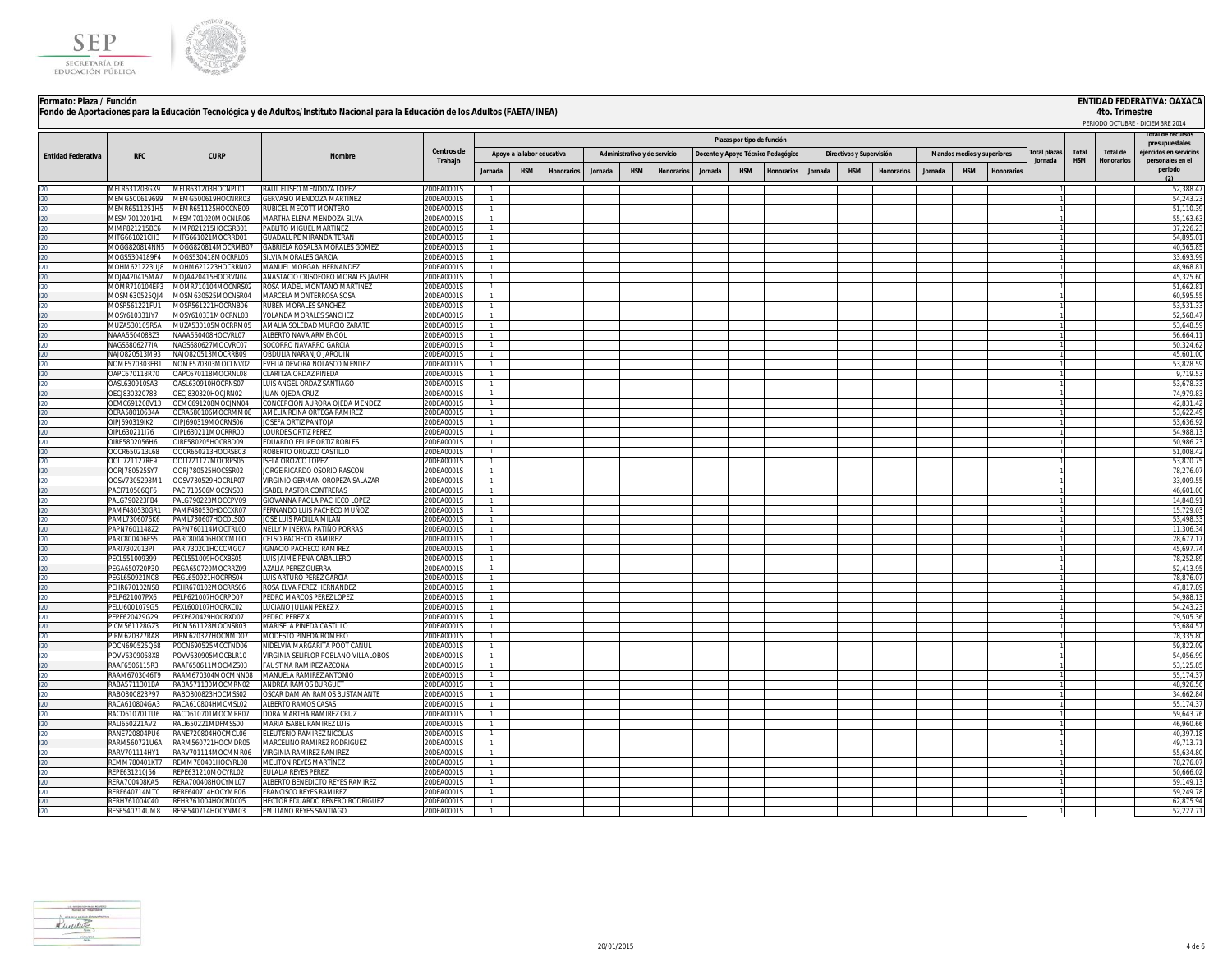

# **ENTIDAD FEDERATIVA: OAXACA**<br>4to. Trimestre

|                           |                                 |                                          | "Ondo de Aportaciones para la Ludcación" rechológica y de Additos/Instituto Nacional para la Ludcación de los Additos (PALTA/INEA) |                          | Plazas por tipo de función |                            |            |         |                              |                   |         |                                    |            |         |                          |                   |         |                            |                   |                        | 40.11115315                | PERIODO OCTUBRE - DICIEMBRE 2014 |                                            |
|---------------------------|---------------------------------|------------------------------------------|------------------------------------------------------------------------------------------------------------------------------------|--------------------------|----------------------------|----------------------------|------------|---------|------------------------------|-------------------|---------|------------------------------------|------------|---------|--------------------------|-------------------|---------|----------------------------|-------------------|------------------------|----------------------------|----------------------------------|--------------------------------------------|
|                           |                                 |                                          |                                                                                                                                    |                          |                            |                            |            |         |                              |                   |         |                                    |            |         |                          |                   |         |                            |                   |                        |                            |                                  |                                            |
|                           |                                 |                                          |                                                                                                                                    |                          |                            |                            |            |         |                              |                   |         |                                    |            |         |                          |                   |         |                            |                   |                        |                            |                                  | presupuestales                             |
| <b>Entidad Federativa</b> | <b>RFC</b>                      | <b>CURP</b>                              | Nombre                                                                                                                             | Centros de               |                            | Apoyo a la labor educativa |            |         | Administrativo y de servicio |                   |         | Docente y Apoyo Técnico Pedagógico |            |         | Directivos y Supervisión |                   |         | Mandos medios y superiores |                   | otal plazas<br>Jornada | <b>Total</b><br><b>HSM</b> | Total de<br><b>Honorarios</b>    | eiercidos en servicios<br>personales en el |
|                           |                                 |                                          |                                                                                                                                    | Trabajo                  | Jornada                    | <b>HSM</b>                 | Honorarios | Jornada | <b>HSM</b>                   | <b>Honorarios</b> | Jornada | <b>HSM</b>                         | Honorarios | Jornada | <b>HSM</b>               | <b>Honorarios</b> | Jornada | <b>HSM</b>                 | <b>Honorarios</b> |                        |                            |                                  | periodo                                    |
|                           |                                 |                                          |                                                                                                                                    |                          |                            |                            |            |         |                              |                   |         |                                    |            |         |                          |                   |         |                            |                   |                        |                            |                                  |                                            |
|                           |                                 | MELR631203GX9 MELR631203HOCNPL01         | RAUL ELISEO MENDOZA LOPEZ                                                                                                          | 20DEA0001S               |                            |                            |            |         |                              |                   |         |                                    |            |         |                          |                   |         |                            |                   |                        |                            |                                  | 52,388.47                                  |
|                           | MEMG500619699                   | MEMG500619HOCNRR03                       | GERVASIO MENDOZA MARTINEZ                                                                                                          | 20DEA0001S               |                            |                            |            |         |                              |                   |         |                                    |            |         |                          |                   |         |                            |                   |                        |                            |                                  | 54,243.2                                   |
|                           | MEMR6511251H5<br>MESM7010201H1  | MEMR651125HOCCNB09<br>MESM701020MOCNLR06 | RUBICEL MECOTT MONTERO<br>MARTHA ELENA MENDOZA SILVA                                                                               | 20DEA0001S<br>20DEA0001S |                            |                            |            |         |                              |                   |         |                                    |            |         |                          |                   |         |                            |                   |                        |                            |                                  | 51,110.3<br>55,163.6                       |
|                           | MIMP821215BC6                   | MIMP821215HOCGRB01                       | PABLITO MIGUEL MARTINEZ                                                                                                            | 20DEA0001S               |                            |                            |            |         |                              |                   |         |                                    |            |         |                          |                   |         |                            |                   |                        |                            |                                  | 37.226.2                                   |
|                           | MITG661021CH3                   | MITG661021MOCRRD01                       | <b>GUADALUPE MIRANDA TERAN</b>                                                                                                     | 20DEA0001S               |                            |                            |            |         |                              |                   |         |                                    |            |         |                          |                   |         |                            |                   |                        |                            |                                  | 54,895.0                                   |
|                           | //OGG820814NN5                  | MOGG820814MOCRMB07                       | GABRIELA ROSALBA MORALES GOMEZ                                                                                                     | 20DEA0001S               |                            |                            |            |         |                              |                   |         |                                    |            |         |                          |                   |         |                            |                   |                        |                            |                                  | 40,565.8                                   |
|                           | VIOGS5304189F4                  | MOGS530418MOCRRL05                       | SILVIA MORALES GARCIA                                                                                                              | 20DEA0001S               |                            |                            |            |         |                              |                   |         |                                    |            |         |                          |                   |         |                            |                   |                        |                            |                                  | 33,693.99                                  |
|                           | MOHM621223UJ8                   | MOHM621223HOCRRN02                       | MANUEL MORGAN HERNANDEZ                                                                                                            | 20DEA0001S               |                            |                            |            |         |                              |                   |         |                                    |            |         |                          |                   |         |                            |                   |                        |                            |                                  | 48,968.8                                   |
|                           | MOJA420415MA7                   | MOJA420415HOCRVN04                       | ANASTACIO CRISOFORO MORALES JAVIER                                                                                                 | 20DEA0001S               |                            |                            |            |         |                              |                   |         |                                    |            |         |                          |                   |         |                            |                   |                        |                            |                                  | 45,325.60                                  |
|                           | MOMR710104EP3<br>//0SM630525QJ4 | MOMR710104MOCNRS02<br>MOSM630525MOCNSR04 | ROSA MADEL MONTAÑO MARTINEZ<br>MARCELA MONTERROSA SOSA                                                                             | 20DEA0001S<br>20DEA0001S |                            |                            |            |         |                              |                   |         |                                    |            |         |                          |                   |         |                            |                   |                        |                            |                                  | 51,662.8<br>60,595.5                       |
|                           | VIOSR561221FU1                  | MOSR561221HOCRNB06                       | RUBEN MORALES SANCHEZ                                                                                                              | 20DEA0001S               |                            |                            |            |         |                              |                   |         |                                    |            |         |                          |                   |         |                            |                   |                        |                            |                                  | 53,531.3                                   |
|                           | MOSY610331IY7                   | MOSY610331MOCRNL03                       | YOLANDA MORALES SANCHEZ                                                                                                            | 20DEA0001S               |                            |                            |            |         |                              |                   |         |                                    |            |         |                          |                   |         |                            |                   |                        |                            |                                  | 52,568.4                                   |
|                           | MUZA530105R5A                   | MUZA530105MOCRRM05                       | AMALIA SOLEDAD MURCIO ZARATE                                                                                                       | 20DEA0001S               | $\overline{1}$             |                            |            |         |                              |                   |         |                                    |            |         |                          |                   |         |                            |                   |                        |                            |                                  | 53,648.5                                   |
|                           | NAAA5504088Z3                   | NAAA550408HOCVRL07                       | ALBERTO NAVA ARMENGOL                                                                                                              | 20DEA0001S               | 1                          |                            |            |         |                              |                   |         |                                    |            |         |                          |                   |         |                            |                   |                        |                            |                                  | 56,664.1                                   |
|                           | NAGS6806277IA                   | NAGS680627MOCVRC07                       | SOCORRO NAVARRO GARCIA                                                                                                             | 20DEA0001S               |                            |                            |            |         |                              |                   |         |                                    |            |         |                          |                   |         |                            |                   |                        |                            |                                  | 50,324.62                                  |
|                           | NAJO820513M93                   | NAJO820513MOCRRB09                       | OBDULIA NARANJO JARQUIN                                                                                                            | 20DEA0001S               |                            |                            |            |         |                              |                   |         |                                    |            |         |                          |                   |         |                            |                   |                        |                            |                                  | 45,601.00                                  |
|                           | NOME570303EB1<br>OAPC670118R70  | NOME570303MOCLNV02<br>OAPC670118MOCRNL08 | EVELIA DEVORA NOLASCO MENDEZ<br>CLARITZA ORDAZ PINEDA                                                                              | 20DEA0001S<br>20DEA0001S |                            |                            |            |         |                              |                   |         |                                    |            |         |                          |                   |         |                            |                   |                        |                            |                                  | 53,828.5<br>9,719.5                        |
|                           | OASL630910SA3                   | OASL630910HOCRNS07                       | LUIS ANGEL ORDAZ SANTIAGO                                                                                                          | 20DEA0001S               |                            |                            |            |         |                              |                   |         |                                    |            |         |                          |                   |         |                            |                   |                        |                            |                                  | 53,678.3                                   |
|                           | OECJ830320783                   | OECJ830320HOCJRN02                       | JUAN OJEDA CRUZ                                                                                                                    | 20DEA0001S               |                            |                            |            |         |                              |                   |         |                                    |            |         |                          |                   |         |                            |                   |                        |                            |                                  | 74,979.8                                   |
|                           | OEMC691208V13                   | OEMC691208MOCJNN04                       | CONCEPCION AURORA OJEDA MENDEZ                                                                                                     | 20DEA0001S               |                            |                            |            |         |                              |                   |         |                                    |            |         |                          |                   |         |                            |                   |                        |                            |                                  | 42,831.4                                   |
|                           | OERA58010634A                   | OERA580106MOCRMM08                       | AMELIA REINA ORTEGA RAMIREZ                                                                                                        | 20DEA0001S               | $\mathbf{1}$               |                            |            |         |                              |                   |         |                                    |            |         |                          |                   |         |                            |                   |                        |                            |                                  | 53,622.4                                   |
|                           | JIPJ690319IK2                   | OIPJ690319MOCRNS06                       | JOSEFA ORTIZ PANTOJA                                                                                                               | 20DEA0001S               |                            |                            |            |         |                              |                   |         |                                    |            |         |                          |                   |         |                            |                   |                        |                            |                                  | 53,636.9                                   |
|                           | IPL630211I76                    | OIPL630211MOCRRR00                       | <b>LOURDES ORTIZ PEREZ</b>                                                                                                         | 20DEA0001S               |                            |                            |            |         |                              |                   |         |                                    |            |         |                          |                   |         |                            |                   |                        |                            |                                  | 54,988.1                                   |
|                           | IRE5802056H6<br>OCR650213L68    | OIRE580205HOCRBD09<br>OOCR650213HOCRSB03 | EDUARDO FELIPE ORTIZ ROBLES<br>ROBERTO OROZCO CASTILLO                                                                             | 20DEA0001S<br>0DEA0001S  |                            |                            |            |         |                              |                   |         |                                    |            |         |                          |                   |         |                            |                   |                        |                            |                                  | 50,986.2<br>51.008.4                       |
|                           | OOLI721127RE9                   | OOLI721127MOCRPS05                       | <b>ISELA OROZCO LOPEZ</b>                                                                                                          | 20DEA0001S               |                            |                            |            |         |                              |                   |         |                                    |            |         |                          |                   |         |                            |                   |                        |                            |                                  | 53,870.7                                   |
|                           | ORI780525SY7                    | OORJ780525HOCSSR02                       | JORGE RICARDO OSORIO RASCON                                                                                                        | 20DEA0001S               | $\mathbf{1}$               |                            |            |         |                              |                   |         |                                    |            |         |                          |                   |         |                            |                   |                        |                            |                                  | 78.276.0                                   |
|                           | OOSV7305298M1                   | OOSV730529HOCRLR07                       | VIRGINIO GERMAN OROPEZA SALAZAR                                                                                                    | 20DEA0001S               |                            |                            |            |         |                              |                   |         |                                    |            |         |                          |                   |         |                            |                   |                        |                            |                                  | 33.009.55                                  |
|                           | PACI710506QF6                   | PACI710506MOCSNS03                       | <b>ISABEL PASTOR CONTRERAS</b>                                                                                                     | 20DEA0001S               |                            |                            |            |         |                              |                   |         |                                    |            |         |                          |                   |         |                            |                   |                        |                            |                                  | 46.601.00                                  |
|                           | PALG790223FB4                   | PALG790223MOCCPV09                       | GIOVANNA PAOLA PACHECO LOPEZ                                                                                                       | 20DEA0001S               |                            |                            |            |         |                              |                   |         |                                    |            |         |                          |                   |         |                            |                   |                        |                            |                                  | 14,848.9                                   |
|                           | PAMF480530GR1                   | PAMF480530HOCCXR07                       | FERNANDO LUIS PACHECO MUÑOZ                                                                                                        | 20DEA0001S               |                            |                            |            |         |                              |                   |         |                                    |            |         |                          |                   |         |                            |                   |                        |                            |                                  | 15,729.0                                   |
|                           | PAML7306075K6<br>PAPN7601148Z2  | PAML730607HOCDLS00<br>PAPN760114MOCTRL00 | JOSE LUIS PADILLA MILAN<br>NELLY MINERVA PATIÑO PORRAS                                                                             | 20DEA0001S<br>20DEA0001S |                            |                            |            |         |                              |                   |         |                                    |            |         |                          |                   |         |                            |                   |                        |                            |                                  | 53,498.3<br>11,306.3                       |
|                           | ARC800406ES5                    | PARC800406HOCCML00                       | CELSO PACHECO RAMIREZ                                                                                                              | 20DEA0001S               |                            |                            |            |         |                              |                   |         |                                    |            |         |                          |                   |         |                            |                   |                        |                            |                                  | 28.677.1                                   |
|                           | ARI7302013PI                    | PARI730201HOCCMG07                       | <b>IGNACIO PACHECO RAMIREZ</b>                                                                                                     | 20DEA0001S               |                            |                            |            |         |                              |                   |         |                                    |            |         |                          |                   |         |                            |                   |                        |                            |                                  | 45.697.7                                   |
|                           | PECL551009399                   | PECL551009HOCXBS05                       | LUIS JAIME PEÑA CABALLERO                                                                                                          | 20DEA0001S               |                            |                            |            |         |                              |                   |         |                                    |            |         |                          |                   |         |                            |                   |                        |                            |                                  | 78,252.8                                   |
|                           | EGA650720P30                    | PEGA650720MOCRRZ09                       | <b>AZALIA PEREZ GUERRA</b>                                                                                                         | 20DEA0001S               |                            |                            |            |         |                              |                   |         |                                    |            |         |                          |                   |         |                            |                   |                        |                            |                                  | 52,413.9                                   |
|                           | PEGL650921NC8                   | PEGL650921HOCRRS04                       | LUIS ARTURO PEREZ GARCIA                                                                                                           | 20DEA0001S               |                            |                            |            |         |                              |                   |         |                                    |            |         |                          |                   |         |                            |                   |                        |                            |                                  | 78,876.0                                   |
|                           | EHR670102NS8                    | PEHR670102MOCRRS06                       | ROSA ELVA PEREZ HERNANDEZ                                                                                                          | 20DEA0001S               |                            |                            |            |         |                              |                   |         |                                    |            |         |                          |                   |         |                            |                   |                        |                            |                                  | 47,817.8                                   |
|                           | ELP621007PX6<br>ELU6001079G5    | PELP621007HOCRPD07<br>PEXL600107HOCRXC02 | PEDRO MARCOS PEREZ LOPEZ<br>LUCIANO JULIAN PEREZ X                                                                                 | 20DEA0001S<br>20DEA0001S |                            |                            |            |         |                              |                   |         |                                    |            |         |                          |                   |         |                            |                   |                        |                            |                                  | 54,988.1<br>54,243.2                       |
|                           | EPE620429G29                    | PEXP620429HOCRXD07                       | PEDRO PEREZ X                                                                                                                      | 20DEA0001S               | $\mathbf{1}$               |                            |            |         |                              |                   |         |                                    |            |         |                          |                   |         |                            |                   |                        |                            |                                  | 79.505.3                                   |
|                           | ICM561128GZ3                    | PICM561128MOCNSR03                       | MARISELA PINEDA CASTILLO                                                                                                           | 20DEA0001S               | $\mathbf{1}$               |                            |            |         |                              |                   |         |                                    |            |         |                          |                   |         |                            |                   |                        |                            |                                  | 53,684.5                                   |
|                           | PIRM620327RA8                   | PIRM620327HOCNMD07                       | MODESTO PINEDA ROMERO                                                                                                              | 20DEA0001S               | $\mathbf{1}$               |                            |            |         |                              |                   |         |                                    |            |         |                          |                   |         |                            |                   |                        |                            |                                  | 78,335.8                                   |
|                           | POCN690525Q68                   | POCN690525MCCTND06                       | NIDELVIA MARGARITA POOT CANUL                                                                                                      | 20DEA0001S               | $\mathbf{1}$               |                            |            |         |                              |                   |         |                                    |            |         |                          |                   |         |                            |                   |                        |                            |                                  | 59,822.0                                   |
|                           | POVV6309058X8                   | POVV630905MOCBLR10                       | VIRGINIA SELIFLOR POBLANO VILLALOBOS                                                                                               | 20DEA0001S               |                            |                            |            |         |                              |                   |         |                                    |            |         |                          |                   |         |                            |                   |                        |                            |                                  | 54,056.9                                   |
|                           | RAAF6506115R3<br>RAAM6703046T9  | RAAF650611MOCMZS03<br>RAAM670304MOCMNN08 | FAUSTINA RAMIREZ AZCONA<br>MANUELA RAMIREZ ANTONIO                                                                                 | 20DEA0001S               |                            |                            |            |         |                              |                   |         |                                    |            |         |                          |                   |         |                            |                   |                        |                            |                                  | 53,125.8                                   |
|                           | RABA5711301BA                   | RABA571130MOCMRN02                       | ANDREA RAMOS BURGUET                                                                                                               | 20DEA0001S<br>20DEA0001S |                            |                            |            |         |                              |                   |         |                                    |            |         |                          |                   |         |                            |                   |                        |                            |                                  | 55,174.3<br>48,926.5                       |
|                           | RABO800823P97                   | RABO800823HOCMSS02                       | OSCAR DAMIAN RAMOS BUSTAMANTE                                                                                                      | 20DEA0001S               |                            |                            |            |         |                              |                   |         |                                    |            |         |                          |                   |         |                            |                   |                        |                            |                                  | 34,662.8                                   |
|                           | RACA610804GA3                   | RACA610804HMCMSL02                       | ALBERTO RAMOS CASAS                                                                                                                | 20DEA0001S               |                            |                            |            |         |                              |                   |         |                                    |            |         |                          |                   |         |                            |                   |                        |                            |                                  | 55,174.3                                   |
|                           | RACD610701TU6                   | RACD610701MOCMRR07                       | DORA MARTHA RAMIREZ CRUZ                                                                                                           | 20DEA0001S               | $\mathbf{1}$               |                            |            |         |                              |                   |         |                                    |            |         |                          |                   |         |                            |                   |                        |                            |                                  | 59,643.7                                   |
|                           | RALI650221AV2                   | RALI650221MDFMSS00                       | MARIA ISABEL RAMIREZ LUIS                                                                                                          | 20DEA0001S               |                            |                            |            |         |                              |                   |         |                                    |            |         |                          |                   |         |                            |                   |                        |                            |                                  | 46,960.66                                  |
|                           | RANE720804PU6                   | RANE720804HOCMCL06                       | ELEUTERIO RAMIREZ NICOLAS                                                                                                          | 20DEA0001S               |                            |                            |            |         |                              |                   |         |                                    |            |         |                          |                   |         |                            |                   |                        |                            |                                  | 40,397.1                                   |
|                           | RARM560721U6A                   | RARM560721HOCMDR05                       | MARCELINO RAMIREZ RODRIGUEZ                                                                                                        | 20DEA0001S               |                            |                            |            |         |                              |                   |         |                                    |            |         |                          |                   |         |                            |                   |                        |                            |                                  | 49,713.7                                   |
|                           | RARV701114HY1<br>FMM780401KT7   | RARV701114MOCMMR06<br>REMM780401HOCYRL08 | VIRGINIA RAMIREZ RAMIREZ<br>MELITON REYES MARTÍNEZ                                                                                 | 20DEA0001S<br>0DEA0001S  |                            |                            |            |         |                              |                   |         |                                    |            |         |                          |                   |         |                            |                   |                        |                            |                                  | 55,634.8<br>78,276.0                       |
|                           | EPE631210J56                    | REPE631210MOCYRL02                       | EULALIA REYES PEREZ                                                                                                                | 20DEA0001S               |                            |                            |            |         |                              |                   |         |                                    |            |         |                          |                   |         |                            |                   |                        |                            |                                  | 50,666.0                                   |
|                           | FRA700408KA5                    | RERA700408HOCYML07                       | ALBERTO BENEDICTO REYES RAMIREZ                                                                                                    | 20DEA0001S               | $\mathbf{1}$               |                            |            |         |                              |                   |         |                                    |            |         |                          |                   |         |                            |                   |                        |                            |                                  | 59.149.1                                   |
|                           | RERE640714MT0                   | RERF640714HOCYMR06                       | <b>FRANCISCO REYES RAMIREZ</b>                                                                                                     | 20DEA0001S               | $\mathbf{1}$               |                            |            |         |                              |                   |         |                                    |            |         |                          |                   |         |                            |                   |                        |                            |                                  | 59.249.78                                  |
|                           | RERH761004C40                   | REHR761004HOCNDC05                       | HECTOR EDUARDO RENERO RODRIGUEZ                                                                                                    | 20DEA0001S               | $\mathbf{1}$               |                            |            |         |                              |                   |         |                                    |            |         |                          |                   |         |                            |                   |                        |                            |                                  | 62.875.94                                  |
|                           |                                 | RESE540714UM8 RESE540714HOCYNM03         | EMILIANO REYES SANTIAGO                                                                                                            | 20DEA0001S               |                            |                            |            |         |                              |                   |         |                                    |            |         |                          |                   |         |                            |                   |                        |                            |                                  | 52,227.71                                  |

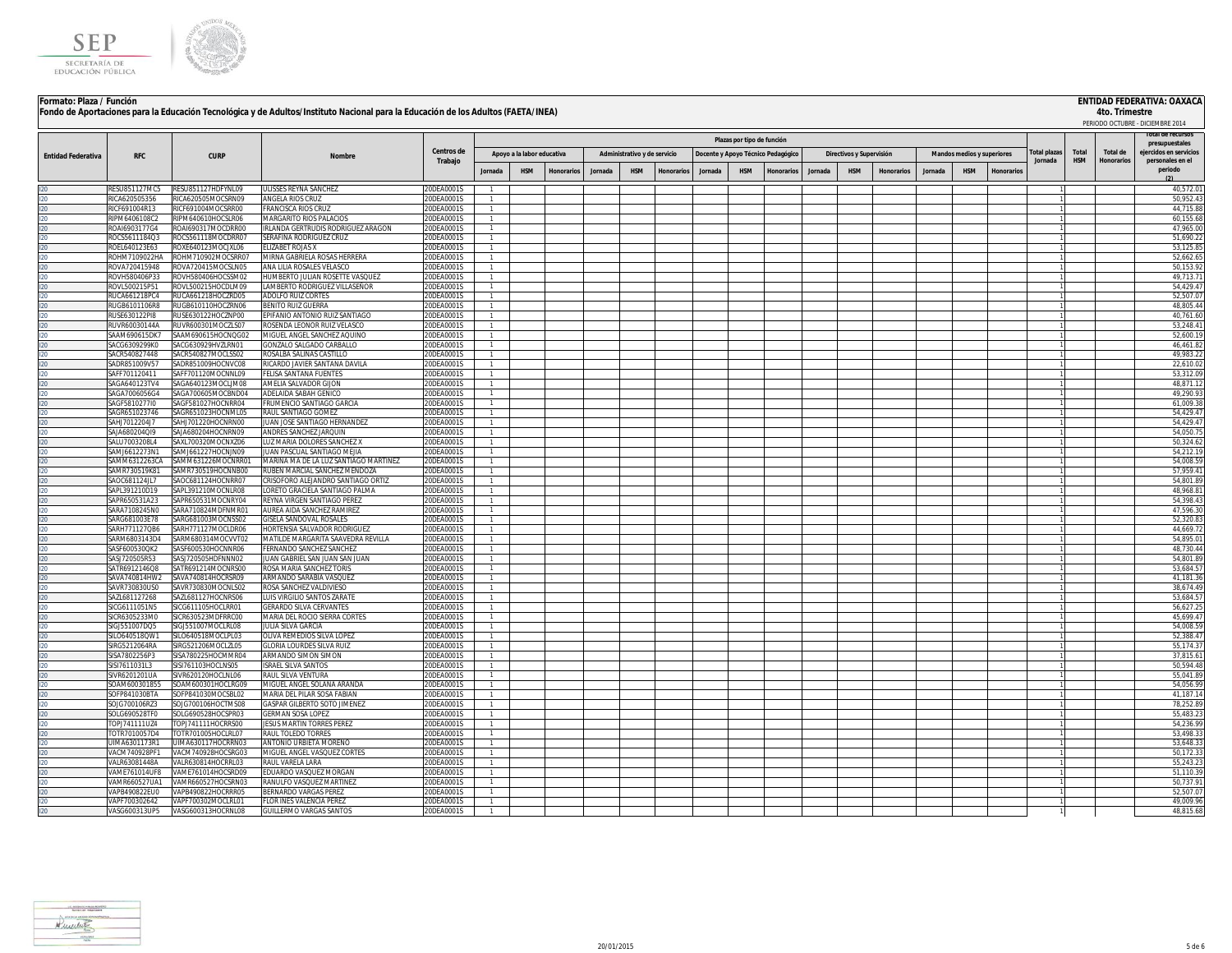



|                           |                                |                                           |                                                                  |                          |                              |                            |            |         |                              |           |         |                            |                                    |         |                          |            |         |                            |           |                     |              |                   | PERIODO OCTUBRE - DICIEMBRE 2014         |
|---------------------------|--------------------------------|-------------------------------------------|------------------------------------------------------------------|--------------------------|------------------------------|----------------------------|------------|---------|------------------------------|-----------|---------|----------------------------|------------------------------------|---------|--------------------------|------------|---------|----------------------------|-----------|---------------------|--------------|-------------------|------------------------------------------|
|                           |                                |                                           |                                                                  |                          |                              |                            |            |         |                              |           |         | Plazas por tipo de función |                                    |         |                          |            |         |                            |           |                     |              |                   | lotal de recursos                        |
|                           |                                |                                           |                                                                  | <b>Centros de</b>        |                              | Apoyo a la labor educativa |            |         | Administrativo y de servicio |           |         |                            |                                    |         | Directivos y Supervisión |            |         | Mandos medios y superiores |           | <b>Total plazas</b> | <b>Total</b> | Total de          | presupuestales<br>ejercidos en servicios |
| <b>Entidad Federativa</b> | <b>RFC</b>                     | <b>CURP</b>                               | <b>Nombre</b>                                                    | Trabajo                  |                              |                            |            |         |                              |           |         |                            | Docente y Apoyo Técnico Pedagógico |         |                          |            |         |                            |           | Jornada             | <b>HSM</b>   | <b>Honorarios</b> | personales en el                         |
|                           |                                |                                           |                                                                  |                          | Jornada                      | <b>HSM</b>                 | Honorarios | Jornada | <b>HSM</b>                   | Honorario | Jornada | <b>HSM</b>                 | Honorario                          | Jornada | <b>HSM</b>               | Honorarios | Jornada | <b>HSM</b>                 | Honorario |                     |              |                   | periodo<br>(2)                           |
|                           | RESU851127MC5                  | RESU851127HDEYNL09                        | <b>ULISSES REYNA SANCHEZ</b>                                     | 20DEA0001S               |                              |                            |            |         |                              |           |         |                            |                                    |         |                          |            |         |                            |           |                     |              |                   | 40.572.0                                 |
|                           | RICA620505356                  | RICA620505MOCSRN09                        | ANGELA RIOS CRUZ                                                 | 20DEA0001S               |                              |                            |            |         |                              |           |         |                            |                                    |         |                          |            |         |                            |           |                     |              |                   | 50.952.4                                 |
|                           | RICF691004R13                  | RICE691004MOCSRR00                        | <b>FRANCISCA RIOS CRUZ</b>                                       | 0DFA0001S                | $\mathbf{1}$                 |                            |            |         |                              |           |         |                            |                                    |         |                          |            |         |                            |           |                     |              |                   | 44.715.8                                 |
|                           | RIPM6406108C2                  | RIPM640610HOCSLR06                        | MARGARITO RIOS PALACIOS                                          | 20DEA0001S               | $\mathbf{1}$<br>$\mathbf{1}$ |                            |            |         |                              |           |         |                            |                                    |         |                          |            |         |                            |           |                     |              |                   | 60,155.68                                |
|                           | ROAI6903177G4<br>ROCS5611184Q3 | ROAI690317MOCDRR00<br>ROCS561118MOCDRR07  | IRLANDA GERTRUDIS RODRIGUEZ ARAGON<br>SERAFINA RODRIGUEZ CRUZ    | 20DEA0001S<br>20DEA0001S |                              |                            |            |         |                              |           |         |                            |                                    |         |                          |            |         |                            |           |                     |              |                   | 47,965.00<br>51,690.2                    |
|                           | OEL640123E63                   | ROXE640123MOCJXL06                        | ELIZABET ROJAS X                                                 | 20DEA0001S               |                              |                            |            |         |                              |           |         |                            |                                    |         |                          |            |         |                            |           |                     |              |                   | 53,125.8                                 |
|                           | OHM7109022HA                   | ROHM710902MOCSRR07                        | MIRNA GABRIELA ROSAS HERRERA                                     | 0DEA0001S                |                              |                            |            |         |                              |           |         |                            |                                    |         |                          |            |         |                            |           |                     |              |                   | 52.662.6                                 |
|                           | OVA720415948                   | ROVA720415MOCSLN05                        | ANA LILIA ROSALES VELASCO                                        | 20DEA0001S               |                              |                            |            |         |                              |           |         |                            |                                    |         |                          |            |         |                            |           |                     |              |                   | 50,153.92                                |
|                           | ROVH580406P33<br>ROVL500215P51 | ROVH580406HOCSSM02<br>ROVI 500215HOCDLM09 | HUMBERTO JULIAN ROSETTE VASQUEZ<br>LAMBERTO RODRIGUEZ VILLASEÑOR | 20DEA0001S<br>0DFA0001S  | $\mathbf{1}$                 |                            |            |         |                              |           |         |                            |                                    |         |                          |            |         |                            |           |                     |              |                   | 49.713.7<br>54.429.47                    |
|                           | RUCA661218PC4                  | RUCA661218HOCZRD05                        | <b>ADOLFO RUIZ CORTES</b>                                        | 20DEA0001S               |                              |                            |            |         |                              |           |         |                            |                                    |         |                          |            |         |                            |           |                     |              |                   | 52.507.0                                 |
|                           | RUGB6101106R8                  | RUGB610110HOCZRN06                        | <b>BENITO RUIZ GUERRA</b>                                        | 20DEA0001S               |                              |                            |            |         |                              |           |         |                            |                                    |         |                          |            |         |                            |           |                     |              |                   | 48.805.44                                |
|                           | RUSE630122PI8                  | RUSE630122HOCZNP00                        | EPIFANIO ANTONIO RUIZ SANTIAGO                                   | 20DEA0001S               |                              |                            |            |         |                              |           |         |                            |                                    |         |                          |            |         |                            |           |                     |              |                   | 40,761.60                                |
|                           | RUVR60030144A                  | RUVR600301MOCZLS07                        | ROSENDA LEONOR RUIZ VELASCO                                      | 20DEA0001S               |                              |                            |            |         |                              |           |         |                            |                                    |         |                          |            |         |                            |           |                     |              |                   | 53,248.4                                 |
|                           | SAAM690615DK7                  | SAAM690615HOCNQG02                        | MIGUEL ANGEL SANCHEZ AQUINO                                      | 20DEA0001S               |                              |                            |            |         |                              |           |         |                            |                                    |         |                          |            |         |                            |           |                     |              |                   | 52,600.1                                 |
|                           | SACG6309299K0<br>SACR540827448 | SACG630929HVZLRN01<br>SACR540827MOCLSS02  | GONZALO SALGADO CARBALLO<br>ROSALBA SALINAS CASTILLO             | 20DEA0001S<br>20DEA0001S |                              |                            |            |         |                              |           |         |                            |                                    |         |                          |            |         |                            |           |                     |              |                   | 46.461.82<br>49.983.22                   |
|                           | SADR851009V57                  | SADR851009HOCNVC08                        | RICARDO JAVIER SANTANA DAVILA                                    | 20DEA0001S               |                              |                            |            |         |                              |           |         |                            |                                    |         |                          |            |         |                            |           |                     |              |                   | 22,610.02                                |
|                           | SAFF701120411                  | SAFF701120MOCNNL09                        | FELISA SANTANA FUENTES                                           | 20DEA0001S               |                              |                            |            |         |                              |           |         |                            |                                    |         |                          |            |         |                            |           |                     |              |                   | 53,312.09                                |
|                           | SAGA640123TV4                  | SAGA640123MOCLIM08                        | AMELIA SALVADOR GIJON                                            | 20DEA0001S               |                              |                            |            |         |                              |           |         |                            |                                    |         |                          |            |         |                            |           |                     |              |                   | 48,871.12                                |
|                           | SAGA7006056G4                  | SAGA700605MOCBND04                        | ADELAIDA SABAH GENICO                                            | 20DEA0001S               |                              |                            |            |         |                              |           |         |                            |                                    |         |                          |            |         |                            |           |                     |              |                   | 49,290.93                                |
|                           | SAGF5810277I0                  | SAGF581027HOCNRR04                        | FRUMENCIO SANTIAGO GARCIA                                        | ODEA0001S                |                              |                            |            |         |                              |           |         |                            |                                    |         |                          |            |         |                            |           |                     |              |                   | 61.009.38                                |
|                           | SAGR651023746                  | SAGR651023HOCNML05                        | RAUL SANTIAGO GOMEZ                                              | 20DEA0001S               |                              |                            |            |         |                              |           |         |                            |                                    |         |                          |            |         |                            |           |                     |              |                   | 54.429.47                                |
| הכ                        | SAHJ7012204J7<br>SAJA680204QI9 | SAHJ701220HOCNRN00<br>SAJA680204HOCNRN09  | <b>JUAN JOSE SANTIAGO HERNANDEZ</b><br>ANDRES SANCHEZ JARQUIN    | 20DEA0001S<br>20DEA0001S | $\mathbf{1}$<br>-1.          |                            |            |         |                              |           |         |                            |                                    |         |                          |            |         |                            |           |                     |              |                   | 54.429.47<br>54,050.75                   |
|                           | SALU7003208L4                  | SAXL700320MOCNXZ06                        | LUZ MARIA DOLORES SANCHEZ X                                      | 20DEA0001S               | 1                            |                            |            |         |                              |           |         |                            |                                    |         |                          |            |         |                            |           |                     |              |                   | 50,324.62                                |
|                           | SAMJ6612273N1                  | SAMJ661227HOCNJN09                        | JUAN PASCUAL SANTIAGO MEJIA                                      | 20DEA0001S               |                              |                            |            |         |                              |           |         |                            |                                    |         |                          |            |         |                            |           |                     |              |                   | 54,212.19                                |
|                           | SAMM6312263CA                  | SAMM631226MOCNRR01                        | MARINA MA DE LA LUZ SANTIAGO MARTINEZ                            | 20DEA0001S               |                              |                            |            |         |                              |           |         |                            |                                    |         |                          |            |         |                            |           |                     |              |                   | 54,008.5                                 |
|                           | SAMR730519K81                  | SAMR730519HOCNNB00                        | RUBEN MARCIAL SANCHEZ MENDOZA                                    | 20DFA0001                |                              |                            |            |         |                              |           |         |                            |                                    |         |                          |            |         |                            |           |                     |              |                   | 57.959.4                                 |
|                           | SAOC681124JL7                  | SAOC681124HOCNRR07                        | CRISOFORO ALEJANDRO SANTIAGO ORTIZ                               | 20DEA0001S               |                              |                            |            |         |                              |           |         |                            |                                    |         |                          |            |         |                            |           |                     |              |                   | 54.801.89                                |
| m                         | SAPL391210D19<br>SAPR650531A23 | SAPL391210MOCNLR08<br>SAPR650531MOCNRY04  | LORETO GRACIELA SANTIAGO PALMA<br>REYNA VIRGEN SANTIAGO PEREZ    | 20DEA0001S<br>20DEA0001S | $\overline{1}$               |                            |            |         |                              |           |         |                            |                                    |         |                          |            |         |                            |           |                     |              |                   | 48.968.8<br>54.398.43                    |
|                           | SARA7108245N0                  | SARA710824MDFNMR01                        | AUREA AIDA SANCHEZ RAMIREZ                                       | 20DEA0001S               |                              |                            |            |         |                              |           |         |                            |                                    |         |                          |            |         |                            |           |                     |              |                   | 47.596.30                                |
|                           | SARG681003E78                  | SARG681003MOCNSS02                        | GISELA SANDOVAL ROSALES                                          | 20DEA0001S               |                              |                            |            |         |                              |           |         |                            |                                    |         |                          |            |         |                            |           |                     |              |                   | 52,320.8                                 |
|                           | SARH771127QB6                  | SARH771127MOCLDR06                        | HORTENSIA SALVADOR RODRIGUEZ                                     | 0DEA0001S                |                              |                            |            |         |                              |           |         |                            |                                    |         |                          |            |         |                            |           |                     |              |                   | 44,669.7                                 |
|                           | ARM6803143D4                   | SARM680314MOCVVT02                        | MATILDE MARGARITA SAAVEDRA REVILLA                               | 0DEA0001S                |                              |                            |            |         |                              |           |         |                            |                                    |         |                          |            |         |                            |           |                     |              |                   | 54,895.0                                 |
|                           | ASF600530QK2                   | SASF600530HOCNNR06                        | FERNANDO SANCHEZ SANCHEZ                                         | 0DEA0001S                |                              |                            |            |         |                              |           |         |                            |                                    |         |                          |            |         |                            |           |                     |              |                   | 48,730.44                                |
|                           | SASJ720505R53<br>SATR6912146Q8 | SASJ720505HDFNNN02<br>SATR691214MOCNRS00  | JUAN GABRIEL SAN JUAN SAN JUAN<br>ROSA MARIA SANCHEZ TORIS       | 20DEA0001S<br>20DEA0001S | $\mathbf{1}$<br>$\mathbf{1}$ |                            |            |         |                              |           |         |                            |                                    |         |                          |            |         |                            |           |                     |              |                   | 54.801.89<br>53.684.5                    |
|                           | SAVA740814HW2                  | SAVA740814HOCRSR09                        | ARMANDO SARABIA VASQUEZ                                          | 20DEA0001S               | $\mathbf{1}$                 |                            |            |         |                              |           |         |                            |                                    |         |                          |            |         |                            |           |                     |              |                   | 41,181.36                                |
|                           | SAVR730830US0                  | SAVR730830MOCNLS02                        | ROSA SANCHEZ VALDIVIESO                                          | 20DEA0001S               |                              |                            |            |         |                              |           |         |                            |                                    |         |                          |            |         |                            |           |                     |              |                   | 38,674.49                                |
|                           | SAZL681127268                  | SAZL681127HOCNRS06                        | LUIS VIRGILIO SANTOS ZARATI                                      | 20DEA0001S               |                              |                            |            |         |                              |           |         |                            |                                    |         |                          |            |         |                            |           |                     |              |                   | 53.684.5                                 |
|                           | SICG6111051N5                  | SICG611105HOCLRR01                        | <b>GERARDO SILVA CERVANTES</b>                                   | 20DEA0001S               |                              |                            |            |         |                              |           |         |                            |                                    |         |                          |            |         |                            |           |                     |              |                   | 56,627.2                                 |
|                           | GICR6305233M0                  | SICR630523MDFRRC00                        | MARIA DEL ROCIO SIERRA CORTES                                    | 20DEA0001S               |                              |                            |            |         |                              |           |         |                            |                                    |         |                          |            |         |                            |           |                     |              |                   | 45,699.4                                 |
|                           | GJ551007DQ5<br>ILO640518QW1    | SIGJ551007MOCLRL08<br>SILO640518MOCLPL03  | JULIA SILVA GARCIA<br>OLIVA REMEDIOS SILVA LOPEZ                 | 20DEA0001S<br>20DEA0001S |                              |                            |            |         |                              |           |         |                            |                                    |         |                          |            |         |                            |           |                     |              |                   | 54.008.59<br>52,388.47                   |
|                           | <b>IRG5212064RA</b>            | SIRG521206MOCLZL05                        | GLORIA LOURDES SILVA RUIZ                                        | 20DEA0001S               |                              |                            |            |         |                              |           |         |                            |                                    |         |                          |            |         |                            |           |                     |              |                   | 55,174.37                                |
|                           | SISA7802256P3                  | SISA780225HOCMMR04                        | ARMANDO SIMON SIMON                                              | 20DEA0001S               |                              |                            |            |         |                              |           |         |                            |                                    |         |                          |            |         |                            |           |                     |              |                   | 37,815.6                                 |
|                           | SISI7611031L3                  | SISI761103HOCLNS05                        | <b>ISRAEL SILVA SANTOS</b>                                       | 20DEA0001S               |                              |                            |            |         |                              |           |         |                            |                                    |         |                          |            |         |                            |           |                     |              |                   | 50,594.48                                |
|                           | SIVR6201201UA                  | SIVR620120HOCLNL06                        | RAUL SILVA VENTURA                                               | 0DEA0001S                |                              |                            |            |         |                              |           |         |                            |                                    |         |                          |            |         |                            |           |                     |              |                   | 55.041.89                                |
|                           | GAM600301855                   | SOAM600301HOCLRG09                        | MIGUEL ANGEL SOLANA ARANDA                                       | 20DEA0001S               |                              |                            |            |         |                              |           |         |                            |                                    |         |                          |            |         |                            |           |                     |              |                   | 54,056.99                                |
|                           | SOFP841030BTA<br>SOIG700106R73 | SOFP841030MOCSBL02<br>SO IG700106HOCTMS08 | MARIA DEL PILAR SOSA FABIAN                                      | 20DEA0001S<br>0DFA0001S  |                              |                            |            |         |                              |           |         |                            |                                    |         |                          |            |         |                            |           |                     |              |                   | 41.187.14                                |
| הכ                        | OLG690528TF0                   | SOLG690528HOCSPR03                        | <b>GASPAR GILBERTO SOTO JIMENEZ</b><br><b>GERMAN SOSA LOPEZ</b>  | 20DEA0001S               | $\mathbf{1}$                 |                            |            |         |                              |           |         |                            |                                    |         |                          |            |         |                            |           |                     |              |                   | 78.252.89<br>55.483.23                   |
|                           | OPJ741111UZ4                   | TOPJ741111HOCRRS00                        | JESUS MARTIN TORRES PEREZ                                        | 20DEA0001S               |                              |                            |            |         |                              |           |         |                            |                                    |         |                          |            |         |                            |           |                     |              |                   | 54,236.99                                |
|                           | OTR7010057D4                   | TOTR701005HOCLRL07                        | RAUL TOLEDO TORRES                                               | 20DEA0001S               |                              |                            |            |         |                              |           |         |                            |                                    |         |                          |            |         |                            |           |                     |              |                   | 53,498.33                                |
|                           | JIMA6301173R1                  | JIMA630117HOCRRN03                        | ANTONIO URBIETA MORENO                                           | 20DEA0001S               |                              |                            |            |         |                              |           |         |                            |                                    |         |                          |            |         |                            |           |                     |              |                   | 53,648.3                                 |
|                           | /ACM740928PF1                  | /ACM740928HOCSRG03                        | MIGUEL ANGEL VASQUEZ CORTES                                      | 20DEA0001S               |                              |                            |            |         |                              |           |         |                            |                                    |         |                          |            |         |                            |           |                     |              |                   | 50,172.3                                 |
|                           | VALR63081448A                  | VALR630814HOCRRL03                        | RAUL VARELA LARA                                                 | 20DEA0001S               |                              |                            |            |         |                              |           |         |                            |                                    |         |                          |            |         |                            |           |                     |              |                   | 55.243.2                                 |
| $20 -$                    | VAME761014UF8<br>VAMR660527UA1 | VAME761014HOCSRD09<br>VAMR660527HOCSRN03  | EDUARDO VASQUEZ MORGAN<br>RANULFO VASQUEZ MARTINEZ               | 20DEA0001S<br>20DEA0001S | $\mathbf{1}$                 |                            |            |         |                              |           |         |                            |                                    |         |                          |            |         |                            |           |                     |              |                   | 51.110.3<br>50.737.9                     |
|                           | VAPB490822EU0                  | VAPB490822HOCRRR05                        | BERNARDO VARGAS PEREZ                                            | 20DEA0001S               |                              |                            |            |         |                              |           |         |                            |                                    |         |                          |            |         |                            |           |                     |              |                   | 52.507.0                                 |
|                           | VAPF700302642                  | VAPF700302MOCLRL01                        | FLOR INES VALENCIA PEREZ                                         | 20DEA0001S               |                              |                            |            |         |                              |           |         |                            |                                    |         |                          |            |         |                            |           |                     |              |                   | 49,009.96                                |
|                           | VASG600313UP5                  | VASG600313HOCRNL08                        | <b>GUILLERMO VARGAS SANTOS</b>                                   | 20DEA0001S               |                              |                            |            |         |                              |           |         |                            |                                    |         |                          |            |         |                            |           |                     |              |                   | 48,815.68                                |
|                           |                                |                                           |                                                                  |                          |                              |                            |            |         |                              |           |         |                            |                                    |         |                          |            |         |                            |           |                     |              |                   |                                          |